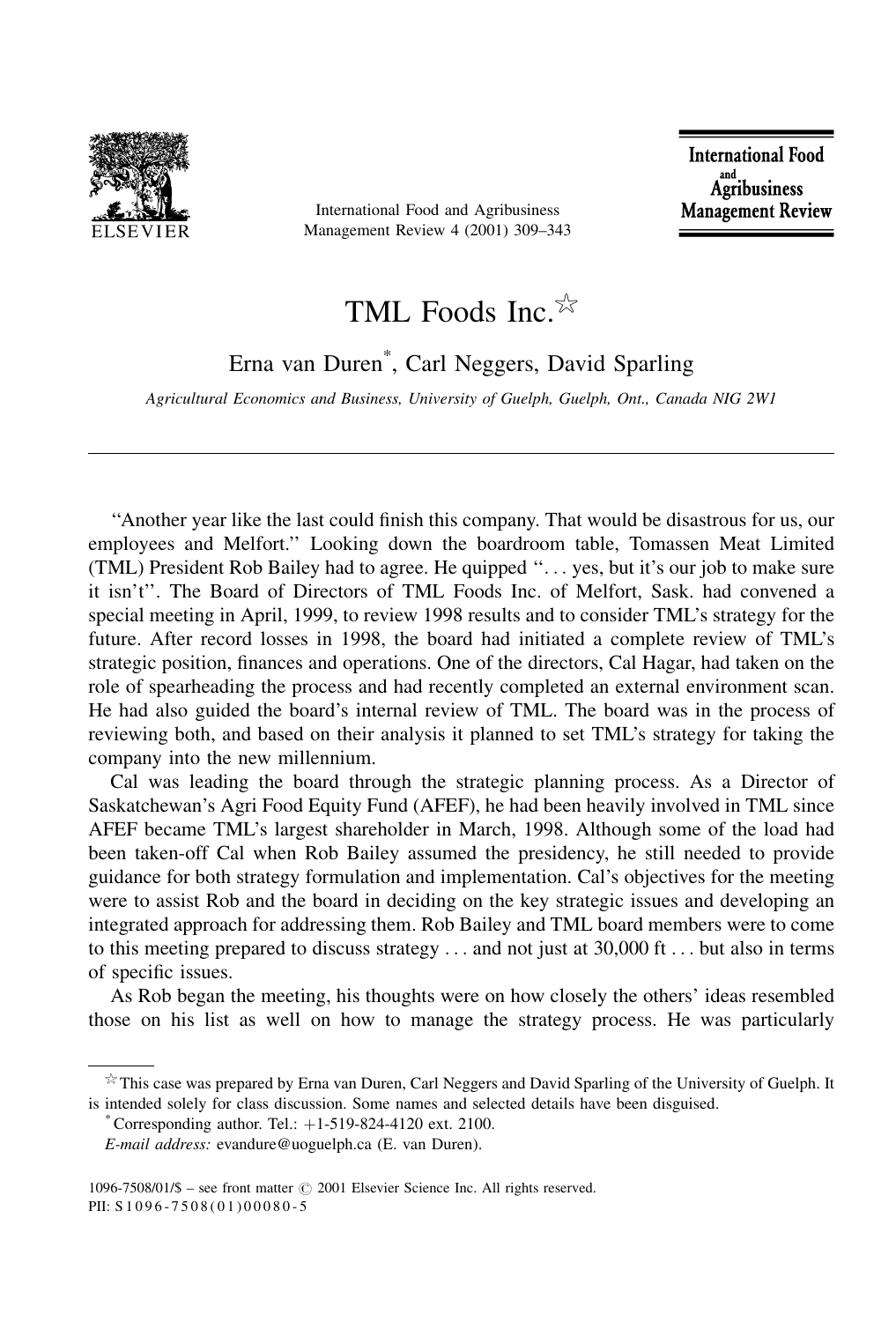

International Food and Agribusiness Management Review 4 (2001) 309-343

**International Food** and<br>Agribusiness **Management Review** 

# TML Foods Inc.  $\frac{1}{100}$

Erna van Duren<sup>\*</sup>, Carl Neggers, David Sparling

Agricultural Economics and Business, University of Guelph, Guelph, Ont., Canada NIG 2W1

"Another year like the last could finish this company. That would be disastrous for us, our employees and Melfort." Looking down the boardroom table, Tomassen Meat Limited (TML) President Rob Bailey had to agree. He quipped "... yes, but it's our job to make sure it isn't". The Board of Directors of TML Foods Inc. of Melfort, Sask. had convened a special meeting in April, 1999, to review 1998 results and to consider TML's strategy for the future. After record losses in 1998, the board had initiated a complete review of TML's strategic position, finances and operations. One of the directors, Cal Hagar, had taken on the role of spearheading the process and had recently completed an external environment scan. He had also guided the board's internal review of TML. The board was in the process of reviewing both, and based on their analysis it planned to set TML's strategy for taking the company into the new millennium.

Cal was leading the board through the strategic planning process. As a Director of Saskatchewan's Agri Food Equity Fund (AFEF), he had been heavily involved in TML since AFEF became TML's largest shareholder in March, 1998. Although some of the load had been taken-off Cal when Rob Bailey assumed the presidency, he still needed to provide guidance for both strategy formulation and implementation. Cal's objectives for the meeting were to assist Rob and the board in deciding on the key strategic issues and developing an integrated approach for addressing them. Rob Bailey and TML board members were to come to this meeting prepared to discuss strategy ... and not just at 30,000 ft ... but also in terms of specific issues.

As Rob began the meeting, his thoughts were on how closely the others' ideas resembled those on his list as well on how to manage the strategy process. He was particularly

 $\overrightarrow{x}$  This case was prepared by Erna van Duren, Carl Neggers and David Sparling of the University of Guelph. It is intended solely for class discussion. Some names and selected details have been disguised.

Corresponding author. Tel.:  $+1-519-824-4120$  ext. 2100.

E-mail address: evandure@uoguelph.ca (E. van Duren).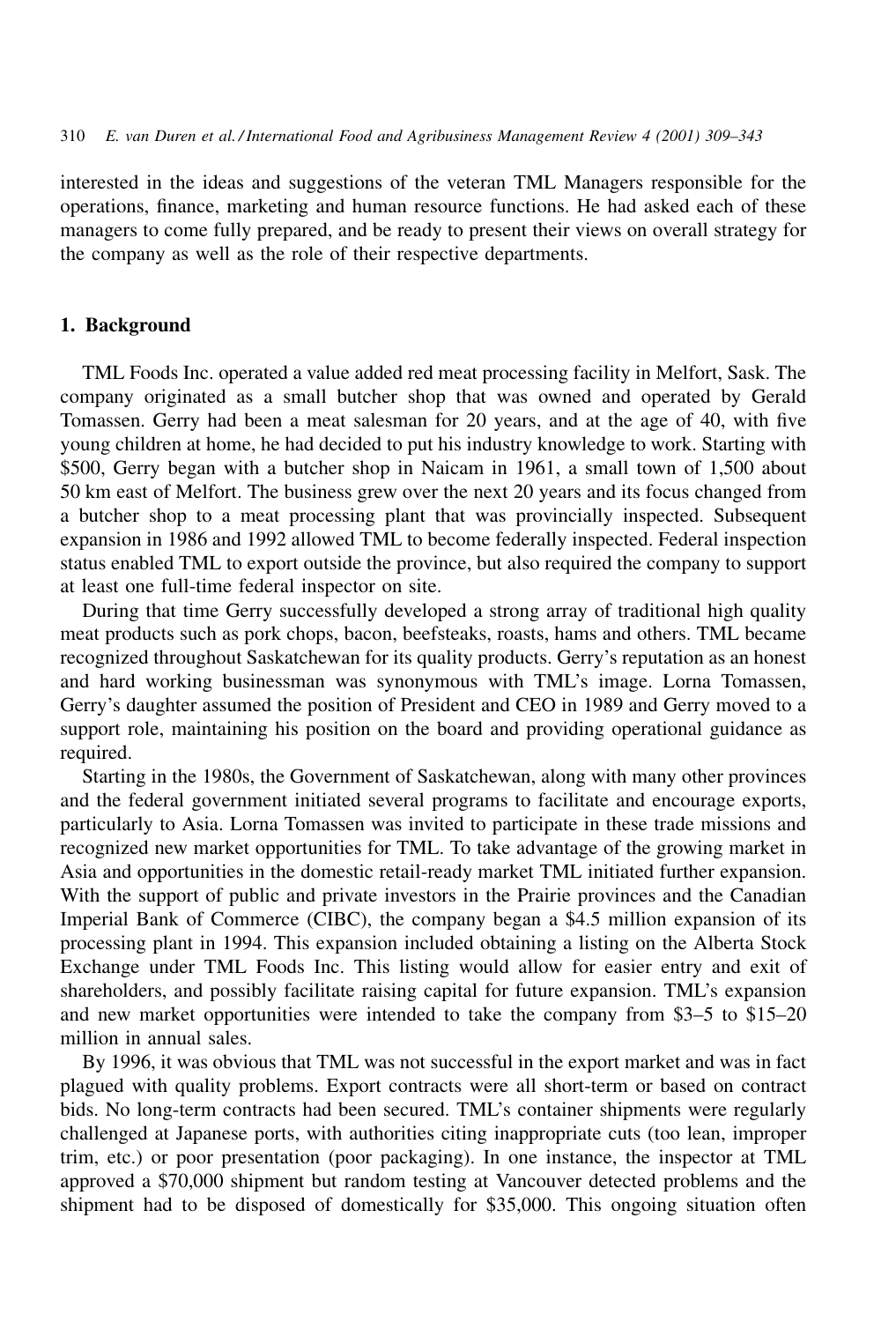interested in the ideas and suggestions of the veteran TML Managers responsible for the operations, finance, marketing and human resource functions. He had asked each of these managers to come fully prepared, and be ready to present their views on overall strategy for the company as well as the role of their respective departments.

#### 1. Background

TML Foods Inc. operated a value added red meat processing facility in Melfort, Sask. The company originated as a small butcher shop that was owned and operated by Gerald Tomassen. Gerry had been a meat salesman for 20 years, and at the age of 40, with five young children at home, he had decided to put his industry knowledge to work. Starting with \$500, Gerry began with a butcher shop in Naicam in 1961, a small town of 1,500 about 50 km east of Melfort. The business grew over the next 20 years and its focus changed from a butcher shop to a meat processing plant that was provincially inspected. Subsequent expansion in 1986 and 1992 allowed TML to become federally inspected. Federal inspection status enabled TML to export outside the province, but also required the company to support at least one full-time federal inspector on site.

During that time Gerry successfully developed a strong array of traditional high quality meat products such as pork chops, bacon, beefsteaks, roasts, hams and others. TML became recognized throughout Saskatchewan for its quality products. Gerry's reputation as an honest and hard working businessman was synonymous with TML's image. Lorna Tomassen, Gerry's daughter assumed the position of President and CEO in 1989 and Gerry moved to a support role, maintaining his position on the board and providing operational guidance as required.

Starting in the 1980s, the Government of Saskatchewan, along with many other provinces and the federal government initiated several programs to facilitate and encourage exports, particularly to Asia. Lorna Tomassen was invited to participate in these trade missions and recognized new market opportunities for TML. To take advantage of the growing market in Asia and opportunities in the domestic retail-ready market TML initiated further expansion. With the support of public and private investors in the Prairie provinces and the Canadian Imperial Bank of Commerce (CIBC), the company began a \$4.5 million expansion of its processing plant in 1994. This expansion included obtaining a listing on the Alberta Stock Exchange under TML Foods Inc. This listing would allow for easier entry and exit of shareholders, and possibly facilitate raising capital for future expansion. TML's expansion and new market opportunities were intended to take the company from \$3-5 to \$15-20 million in annual sales.

By 1996, it was obvious that TML was not successful in the export market and was in fact plagued with quality problems. Export contracts were all short-term or based on contract bids. No long-term contracts had been secured. TML's container shipments were regularly challenged at Japanese ports, with authorities citing inappropriate cuts (too lean, improper trim, etc.) or poor presentation (poor packaging). In one instance, the inspector at TML approved a \$70,000 shipment but random testing at Vancouver detected problems and the shipment had to be disposed of domestically for \$35,000. This ongoing situation often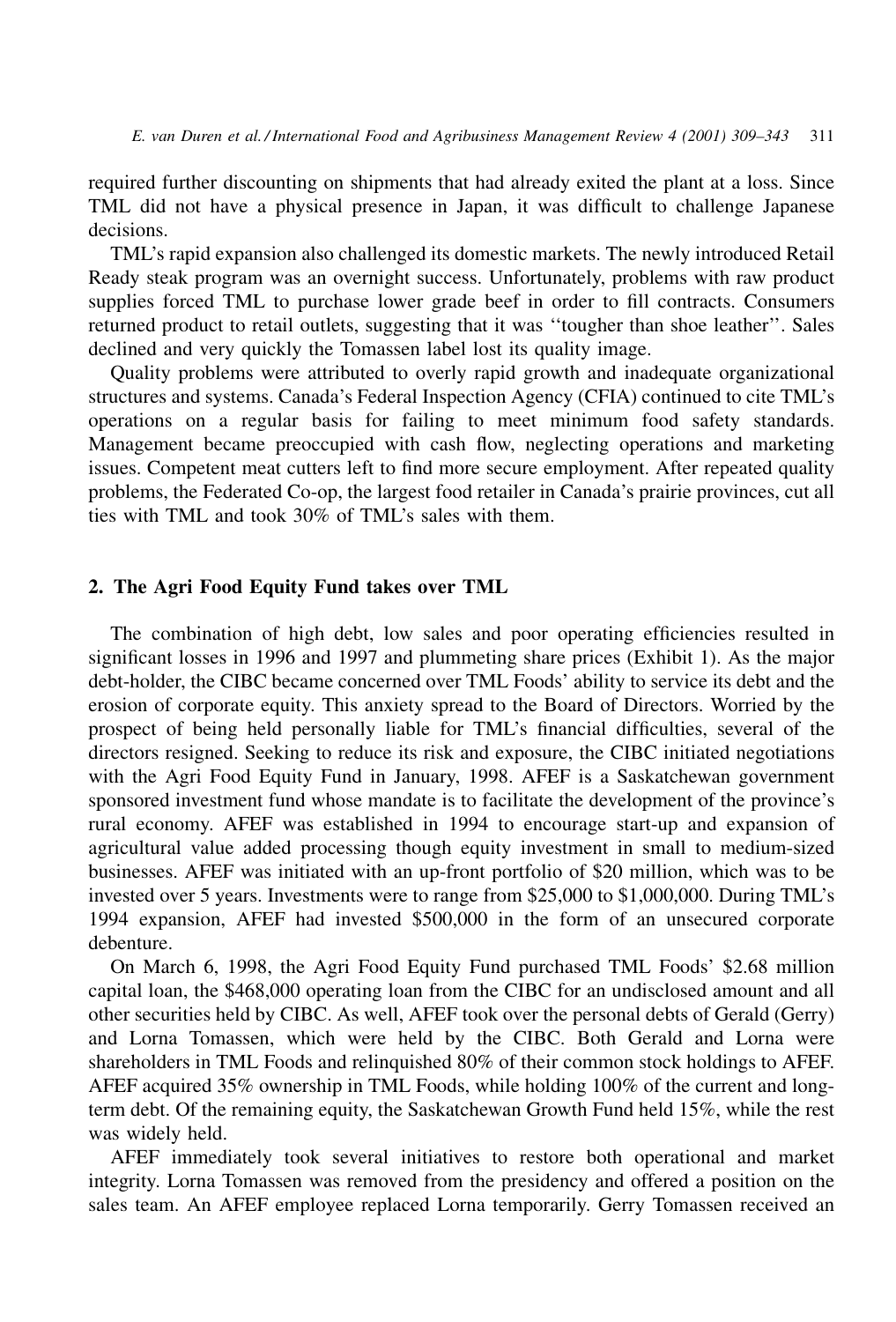required further discounting on shipments that had already exited the plant at a loss. Since TML did not have a physical presence in Japan, it was difficult to challenge Japanese decisions.

TML's rapid expansion also challenged its domestic markets. The newly introduced Retail Ready steak program was an overnight success. Unfortunately, problems with raw product supplies forced TML to purchase lower grade beef in order to fill contracts. Consumers returned product to retail outlets, suggesting that it was "tougher than shoe leather". Sales declined and very quickly the Tomassen label lost its quality image.

Quality problems were attributed to overly rapid growth and inadequate organizational structures and systems. Canada's Federal Inspection Agency (CFIA) continued to cite TML's operations on a regular basis for failing to meet minimum food safety standards. Management became preoccupied with cash flow, neglecting operations and marketing issues. Competent meat cutters left to find more secure employment. After repeated quality problems, the Federated Co-op, the largest food retailer in Canada's prairie provinces, cut all ties with TML and took 30% of TML's sales with them.

## 2. The Agri Food Equity Fund takes over TML

The combination of high debt, low sales and poor operating efficiencies resulted in significant losses in 1996 and 1997 and plummeting share prices (Exhibit 1). As the major debt-holder, the CIBC became concerned over TML Foods' ability to service its debt and the erosion of corporate equity. This anxiety spread to the Board of Directors. Worried by the prospect of being held personally liable for TML's financial difficulties, several of the directors resigned. Seeking to reduce its risk and exposure, the CIBC initiated negotiations with the Agri Food Equity Fund in January, 1998. AFEF is a Saskatchewan government sponsored investment fund whose mandate is to facilitate the development of the province's rural economy. AFEF was established in 1994 to encourage start-up and expansion of agricultural value added processing though equity investment in small to medium-sized businesses. AFEF was initiated with an up-front portfolio of \$20 million, which was to be invested over 5 years. Investments were to range from \$25,000 to \$1,000,000. During TML's 1994 expansion, AFEF had invested \$500,000 in the form of an unsecured corporate debenture.

On March 6, 1998, the Agri Food Equity Fund purchased TML Foods' \$2.68 million capital loan, the \$468,000 operating loan from the CIBC for an undisclosed amount and all other securities held by CIBC. As well, AFEF took over the personal debts of Gerald (Gerry) and Lorna Tomassen, which were held by the CIBC. Both Gerald and Lorna were shareholders in TML Foods and relinquished 80% of their common stock holdings to AFEF. AFEF acquired 35% ownership in TML Foods, while holding 100% of the current and longterm debt. Of the remaining equity, the Saskatchewan Growth Fund held 15%, while the rest was widely held.

AFEF immediately took several initiatives to restore both operational and market integrity. Lorna Tomassen was removed from the presidency and offered a position on the sales team. An AFEF employee replaced Lorna temporarily. Gerry Tomassen received an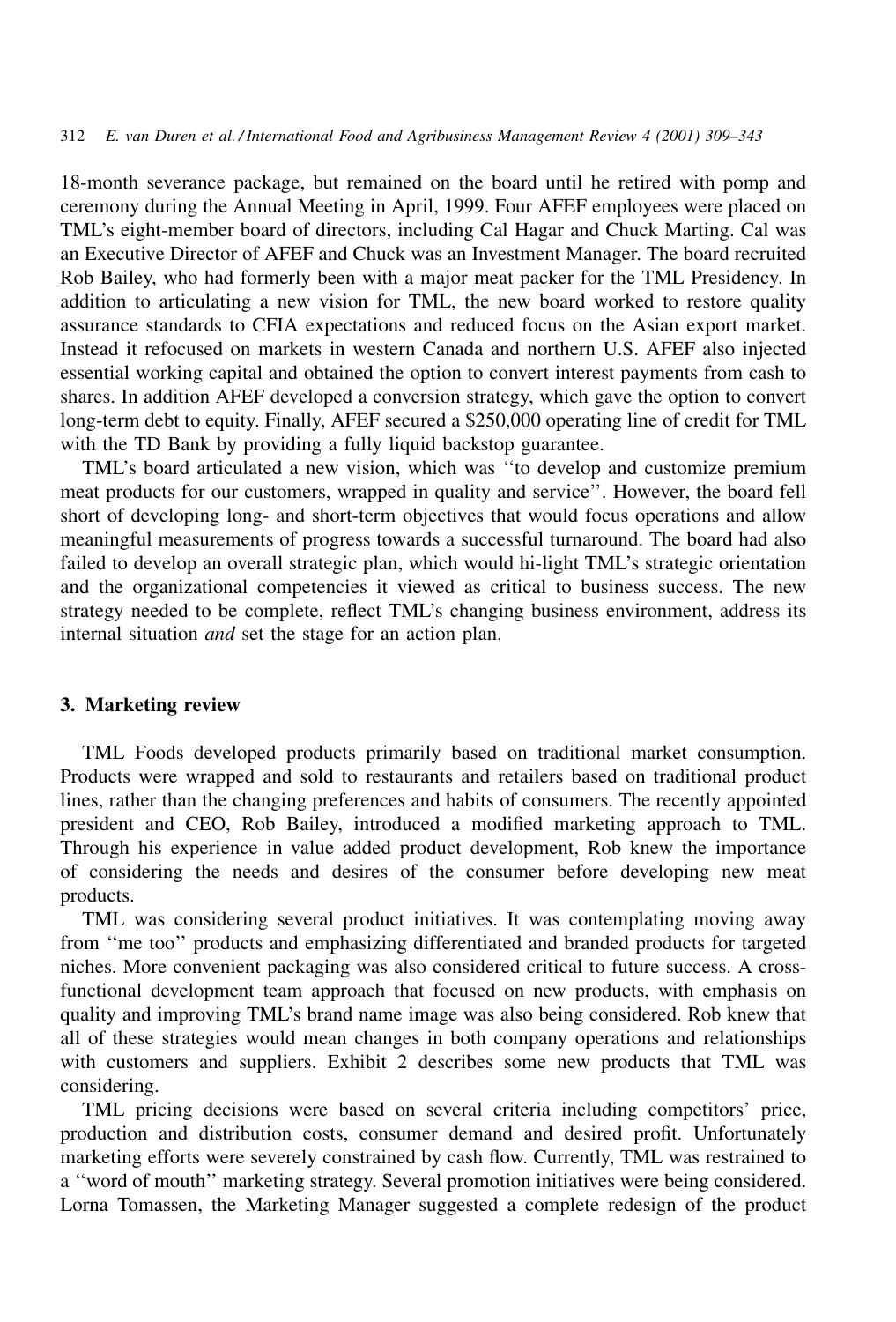18-month severance package, but remained on the board until he retired with pomp and ceremony during the Annual Meeting in April, 1999. Four AFEF employees were placed on TML's eight-member board of directors, including Cal Hagar and Chuck Marting. Cal was an Executive Director of AFEF and Chuck was an Investment Manager. The board recruited Rob Bailey, who had formerly been with a major meat packer for the TML Presidency. In addition to articulating a new vision for TML, the new board worked to restore quality assurance standards to CFIA expectations and reduced focus on the Asian export market. Instead it refocused on markets in western Canada and northern U.S. AFEF also injected essential working capital and obtained the option to convert interest payments from cash to shares. In addition AFEF developed a conversion strategy, which gave the option to convert long-term debt to equity. Finally, AFEF secured a \$250,000 operating line of credit for TML with the TD Bank by providing a fully liquid backstop guarantee.

TML's board articulated a new vision, which was "to develop and customize premium meat products for our customers, wrapped in quality and service". However, the board fell short of developing long- and short-term objectives that would focus operations and allow meaningful measurements of progress towards a successful turnaround. The board had also failed to develop an overall strategic plan, which would hi-light TML's strategic orientation and the organizational competencies it viewed as critical to business success. The new strategy needed to be complete, reflect TML's changing business environment, address its internal situation *and* set the stage for an action plan.

#### 3. Marketing review

TML Foods developed products primarily based on traditional market consumption. Products were wrapped and sold to restaurants and retailers based on traditional product lines, rather than the changing preferences and habits of consumers. The recently appointed president and CEO, Rob Bailey, introduced a modified marketing approach to TML. Through his experience in value added product development, Rob knew the importance of considering the needs and desires of the consumer before developing new meat products.

TML was considering several product initiatives. It was contemplating moving away from "me too" products and emphasizing differentiated and branded products for targeted niches. More convenient packaging was also considered critical to future success. A crossfunctional development team approach that focused on new products, with emphasis on quality and improving TML's brand name image was also being considered. Rob knew that all of these strategies would mean changes in both company operations and relationships with customers and suppliers. Exhibit 2 describes some new products that TML was considering.

TML pricing decisions were based on several criteria including competitors' price, production and distribution costs, consumer demand and desired profit. Unfortunately marketing efforts were severely constrained by cash flow. Currently, TML was restrained to a "word of mouth" marketing strategy. Several promotion initiatives were being considered. Lorna Tomassen, the Marketing Manager suggested a complete redesign of the product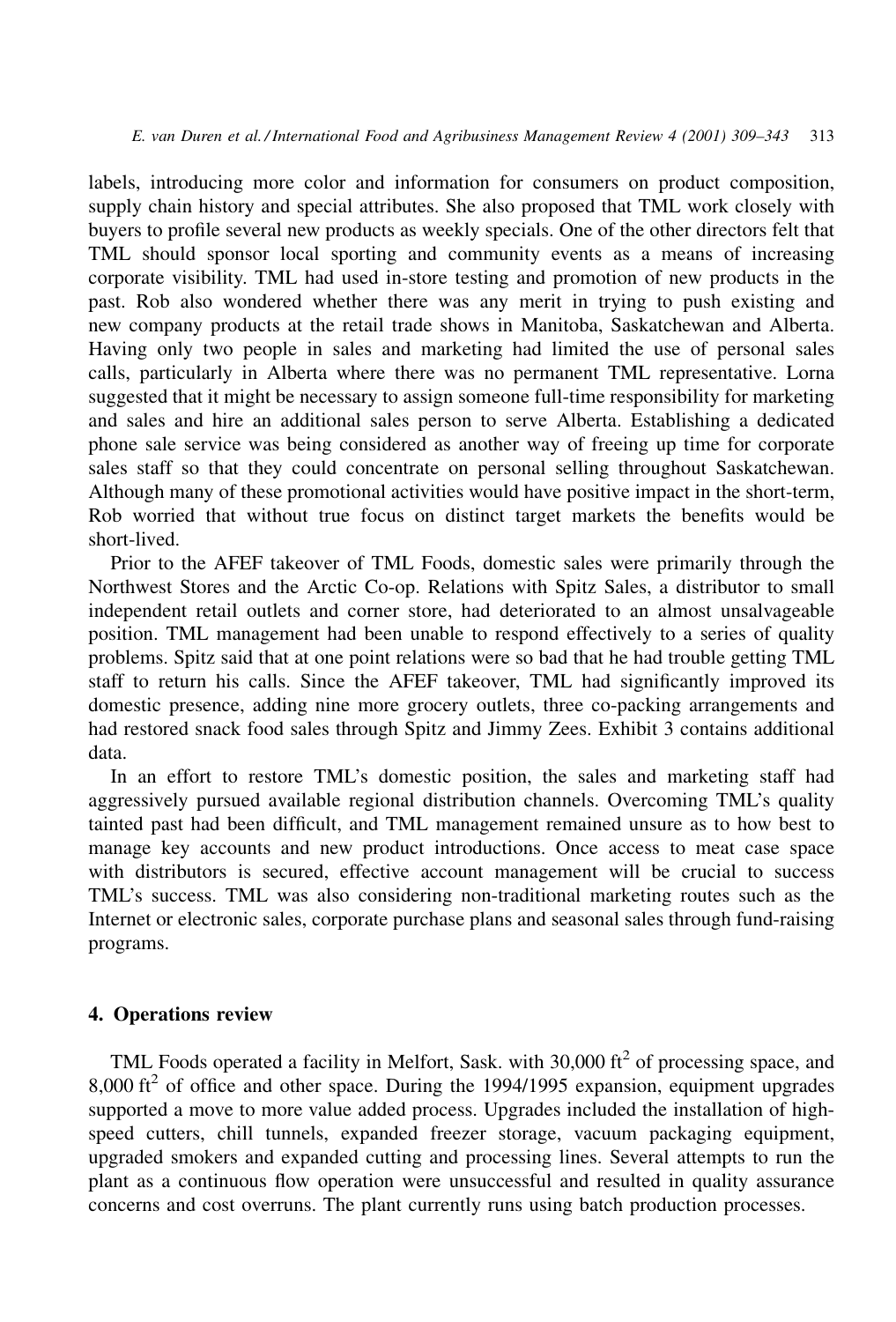labels, introducing more color and information for consumers on product composition, supply chain history and special attributes. She also proposed that TML work closely with buyers to profile several new products as weekly specials. One of the other directors felt that TML should sponsor local sporting and community events as a means of increasing corporate visibility. TML had used in-store testing and promotion of new products in the past. Rob also wondered whether there was any merit in trying to push existing and new company products at the retail trade shows in Manitoba, Saskatchewan and Alberta. Having only two people in sales and marketing had limited the use of personal sales calls, particularly in Alberta where there was no permanent TML representative. Lorna suggested that it might be necessary to assign someone full-time responsibility for marketing and sales and hire an additional sales person to serve Alberta. Establishing a dedicated phone sale service was being considered as another way of freeing up time for corporate sales staff so that they could concentrate on personal selling throughout Saskatchewan. Although many of these promotional activities would have positive impact in the short-term, Rob worried that without true focus on distinct target markets the benefits would be short-lived.

Prior to the AFEF takeover of TML Foods, domestic sales were primarily through the Northwest Stores and the Arctic Co-op. Relations with Spitz Sales, a distributor to small independent retail outlets and corner store, had deteriorated to an almost unsalvageable position. TML management had been unable to respond effectively to a series of quality problems. Spitz said that at one point relations were so bad that he had trouble getting TML staff to return his calls. Since the AFEF takeover, TML had significantly improved its domestic presence, adding nine more grocery outlets, three co-packing arrangements and had restored snack food sales through Spitz and Jimmy Zees. Exhibit 3 contains additional data.

In an effort to restore TML's domestic position, the sales and marketing staff had aggressively pursued available regional distribution channels. Overcoming TML's quality tainted past had been difficult, and TML management remained unsure as to how best to manage key accounts and new product introductions. Once access to meat case space with distributors is secured, effective account management will be crucial to success TML's success. TML was also considering non-traditional marketing routes such as the Internet or electronic sales, corporate purchase plans and seasonal sales through fund-raising programs.

## 4. Operations review

TML Foods operated a facility in Melfort, Sask. with 30,000 ft<sup>2</sup> of processing space, and  $8,000$  ft<sup>2</sup> of office and other space. During the 1994/1995 expansion, equipment upgrades supported a move to more value added process. Upgrades included the installation of highspeed cutters, chill tunnels, expanded freezer storage, vacuum packaging equipment, upgraded smokers and expanded cutting and processing lines. Several attempts to run the plant as a continuous flow operation were unsuccessful and resulted in quality assurance concerns and cost overruns. The plant currently runs using batch production processes.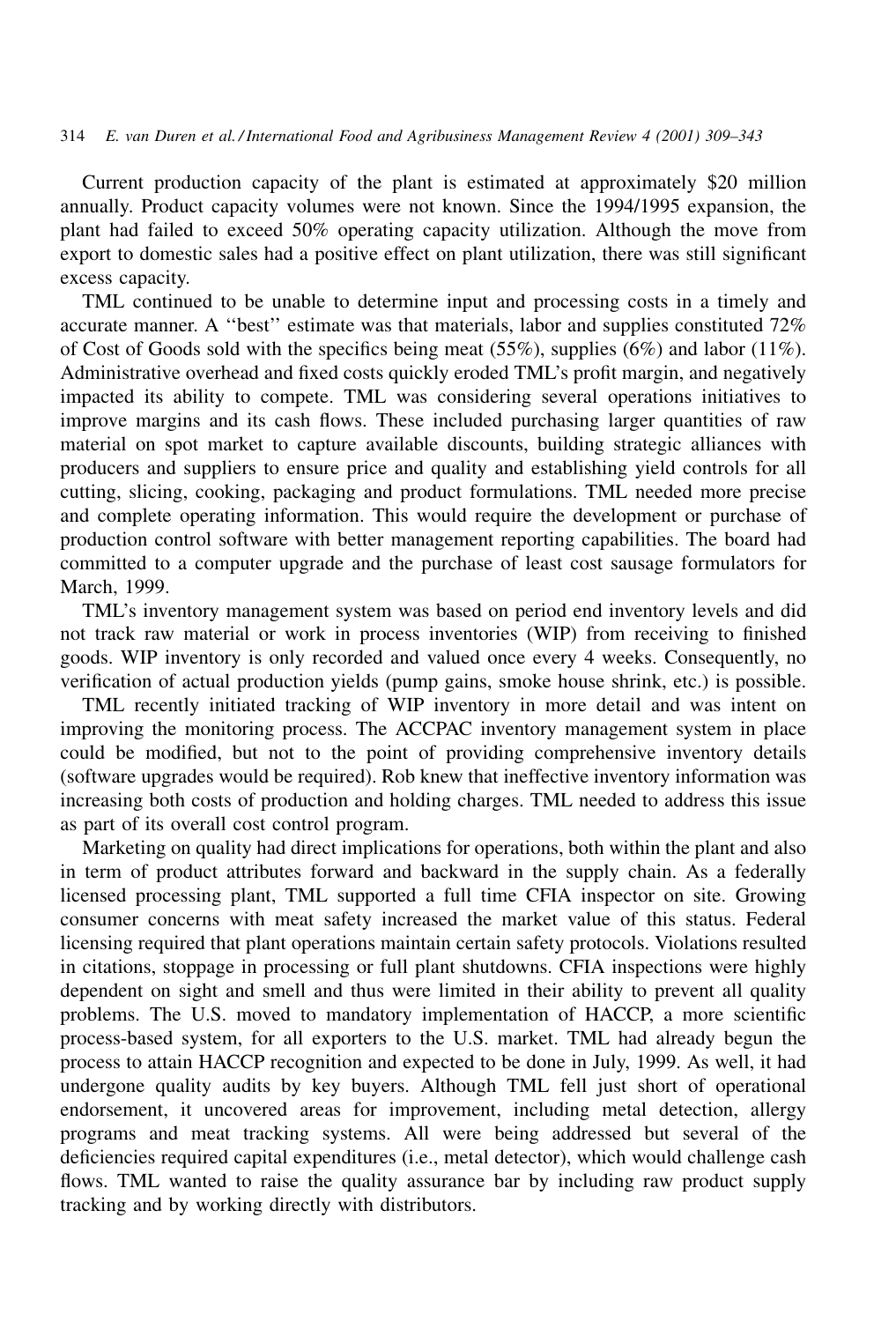Current production capacity of the plant is estimated at approximately \$20 million annually. Product capacity volumes were not known. Since the 1994/1995 expansion, the plant had failed to exceed 50% operating capacity utilization. Although the move from export to domestic sales had a positive effect on plant utilization, there was still significant excess capacity.

TML continued to be unable to determine input and processing costs in a timely and accurate manner. A "best" estimate was that materials, labor and supplies constituted 72% of Cost of Goods sold with the specifics being meat  $(55\%)$ , supplies  $(6\%)$  and labor  $(11\%)$ . Administrative overhead and fixed costs quickly eroded TML's profit margin, and negatively impacted its ability to compete. TML was considering several operations initiatives to improve margins and its cash flows. These included purchasing larger quantities of raw material on spot market to capture available discounts, building strategic alliances with producers and suppliers to ensure price and quality and establishing yield controls for all cutting, slicing, cooking, packaging and product formulations. TML needed more precise and complete operating information. This would require the development or purchase of production control software with better management reporting capabilities. The board had committed to a computer upgrade and the purchase of least cost sausage formulators for March, 1999.

TML's inventory management system was based on period end inventory levels and did not track raw material or work in process inventories (WIP) from receiving to finished goods. WIP inventory is only recorded and valued once every 4 weeks. Consequently, no verification of actual production yields (pump gains, smoke house shrink, etc.) is possible.

TML recently initiated tracking of WIP inventory in more detail and was intent on improving the monitoring process. The ACCPAC inventory management system in place could be modified, but not to the point of providing comprehensive inventory details (software upgrades would be required). Rob knew that ineffective inventory information was increasing both costs of production and holding charges. TML needed to address this issue as part of its overall cost control program.

Marketing on quality had direct implications for operations, both within the plant and also in term of product attributes forward and backward in the supply chain. As a federally licensed processing plant, TML supported a full time CFIA inspector on site. Growing consumer concerns with meat safety increased the market value of this status. Federal licensing required that plant operations maintain certain safety protocols. Violations resulted in citations, stoppage in processing or full plant shutdowns. CFIA inspections were highly dependent on sight and smell and thus were limited in their ability to prevent all quality problems. The U.S. moved to mandatory implementation of HACCP, a more scientific process-based system, for all exporters to the U.S. market. TML had already begun the process to attain HACCP recognition and expected to be done in July, 1999. As well, it had undergone quality audits by key buyers. Although TML fell just short of operational endorsement, it uncovered areas for improvement, including metal detection, allergy programs and meat tracking systems. All were being addressed but several of the deficiencies required capital expenditures (i.e., metal detector), which would challenge cash flows. TML wanted to raise the quality assurance bar by including raw product supply tracking and by working directly with distributors.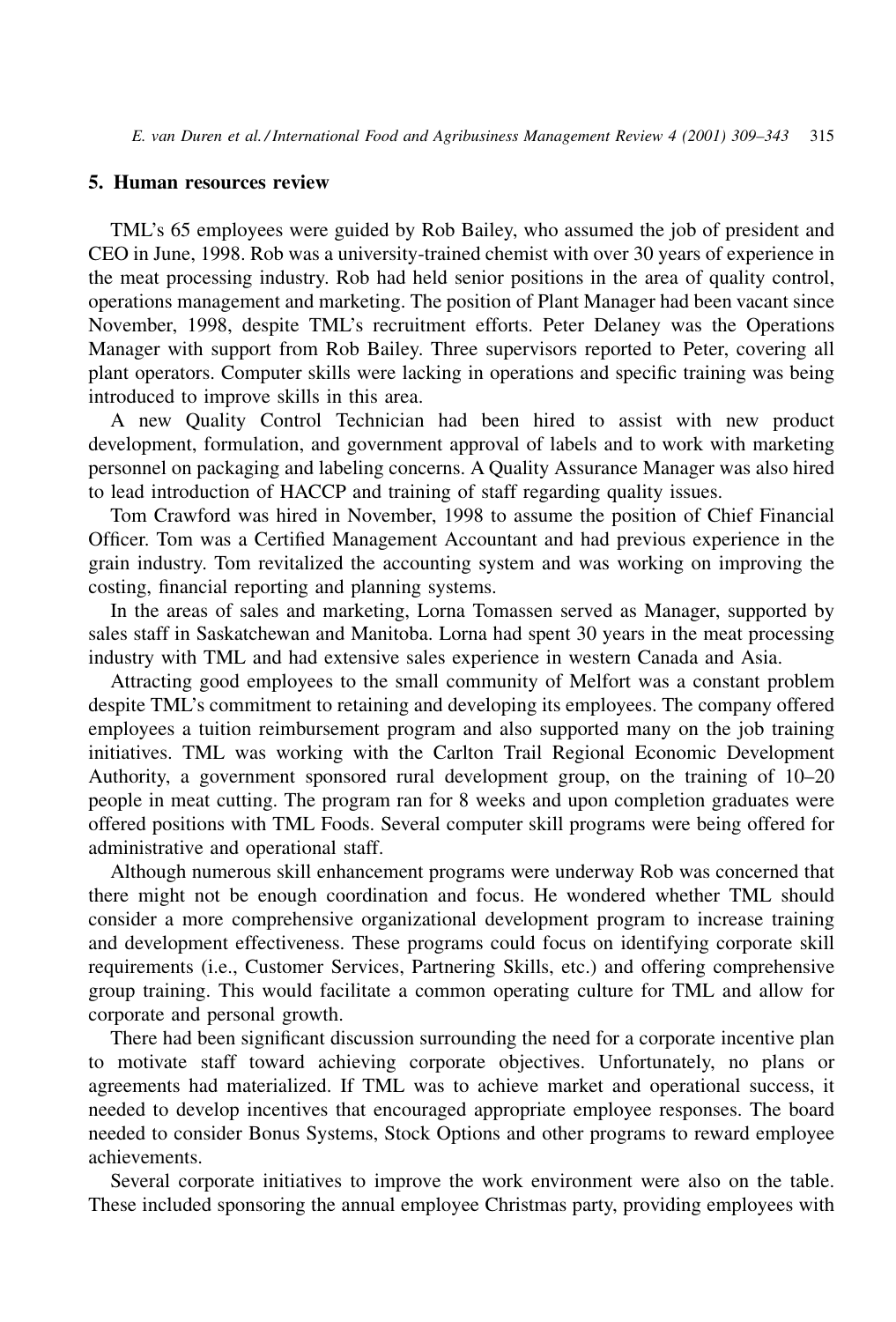#### **5. Human resources review**

TML's 65 employees were guided by Rob Bailey, who assumed the job of president and CEO in June, 1998. Rob was a university-trained chemist with over 30 years of experience in the meat processing industry. Rob had held senior positions in the area of quality control, operations management and marketing. The position of Plant Manager had been vacant since November, 1998, despite TML's recruitment efforts. Peter Delaney was the Operations Manager with support from Rob Bailey. Three supervisors reported to Peter, covering all plant operators. Computer skills were lacking in operations and specific training was being introduced to improve skills in this area.

A new Quality Control Technician had been hired to assist with new product development, formulation, and government approval of labels and to work with marketing personnel on packaging and labeling concerns. A Quality Assurance Manager was also hired to lead introduction of HACCP and training of staff regarding quality issues.

Tom Crawford was hired in November, 1998 to assume the position of Chief Financial Officer. Tom was a Certified Management Accountant and had previous experience in the grain industry. Tom revitalized the accounting system and was working on improving the costing, financial reporting and planning systems.

In the areas of sales and marketing, Lorna Tomassen served as Manager, supported by sales staff in Saskatchewan and Manitoba. Lorna had spent 30 years in the meat processing industry with TML and had extensive sales experience in western Canada and Asia.

Attracting good employees to the small community of Melfort was a constant problem despite TML's commitment to retaining and developing its employees. The company offered employees a tuition reimbursement program and also supported many on the job training initiatives. TML was working with the Carlton Trail Regional Economic Development Authority, a government sponsored rural development group, on the training of 10–20 people in meat cutting. The program ran for 8 weeks and upon completion graduates were offered positions with TML Foods. Several computer skill programs were being offered for administrative and operational staff.

Although numerous skill enhancement programs were underway Rob was concerned that there might not be enough coordination and focus. He wondered whether TML should consider a more comprehensive organizational development program to increase training and development effectiveness. These programs could focus on identifying corporate skill requirements (i.e., Customer Services, Partnering Skills, etc.) and offering comprehensive group training. This would facilitate a common operating culture for TML and allow for corporate and personal growth.

There had been significant discussion surrounding the need for a corporate incentive plan to motivate staff toward achieving corporate objectives. Unfortunately, no plans or agreements had materialized. If TML was to achieve market and operational success, it needed to develop incentives that encouraged appropriate employee responses. The board needed to consider Bonus Systems, Stock Options and other programs to reward employee achievements.

Several corporate initiatives to improve the work environment were also on the table. These included sponsoring the annual employee Christmas party, providing employees with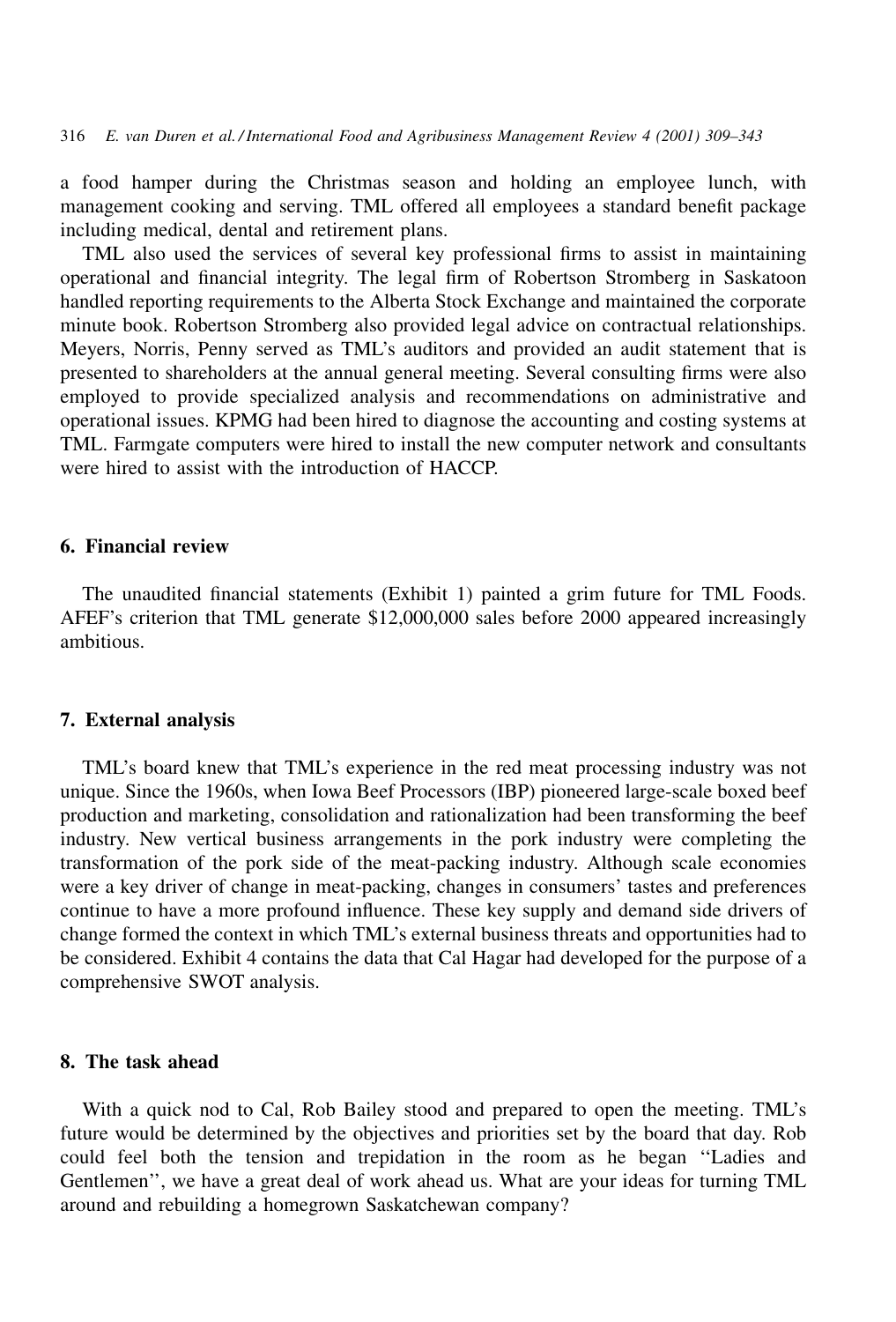a food hamper during the Christmas season and holding an employee lunch, with management cooking and serving. TML offered all employees a standard benefit package including medical, dental and retirement plans.

TML also used the services of several key professional firms to assist in maintaining operational and financial integrity. The legal firm of Robertson Stromberg in Saskatoon handled reporting requirements to the Alberta Stock Exchange and maintained the corporate minute book. Robertson Stromberg also provided legal advice on contractual relationships. Meyers, Norris, Penny served as TML's auditors and provided an audit statement that is presented to shareholders at the annual general meeting. Several consulting firms were also employed to provide specialized analysis and recommendations on administrative and operational issues. KPMG had been hired to diagnose the accounting and costing systems at TML. Farmgate computers were hired to install the new computer network and consultants were hired to assist with the introduction of HACCP.

## 6. Financial review

The unaudited financial statements (Exhibit 1) painted a grim future for TML Foods. AFEF's criterion that TML generate \$12,000,000 sales before 2000 appeared increasingly ambitious.

#### 7. External analysis

TML's board knew that TML's experience in the red meat processing industry was not unique. Since the 1960s, when Iowa Beef Processors (IBP) pioneered large-scale boxed beef production and marketing, consolidation and rationalization had been transforming the beef industry. New vertical business arrangements in the pork industry were completing the transformation of the pork side of the meat-packing industry. Although scale economies were a key driver of change in meat-packing, changes in consumers' tastes and preferences continue to have a more profound influence. These key supply and demand side drivers of change formed the context in which TML's external business threats and opportunities had to be considered. Exhibit 4 contains the data that Cal Hagar had developed for the purpose of a comprehensive SWOT analysis.

## 8. The task ahead

With a quick nod to Cal, Rob Bailey stood and prepared to open the meeting. TML's future would be determined by the objectives and priorities set by the board that day. Rob could feel both the tension and trepidation in the room as he began "Ladies and Gentlemen", we have a great deal of work ahead us. What are your ideas for turning TML around and rebuilding a homegrown Saskatchewan company?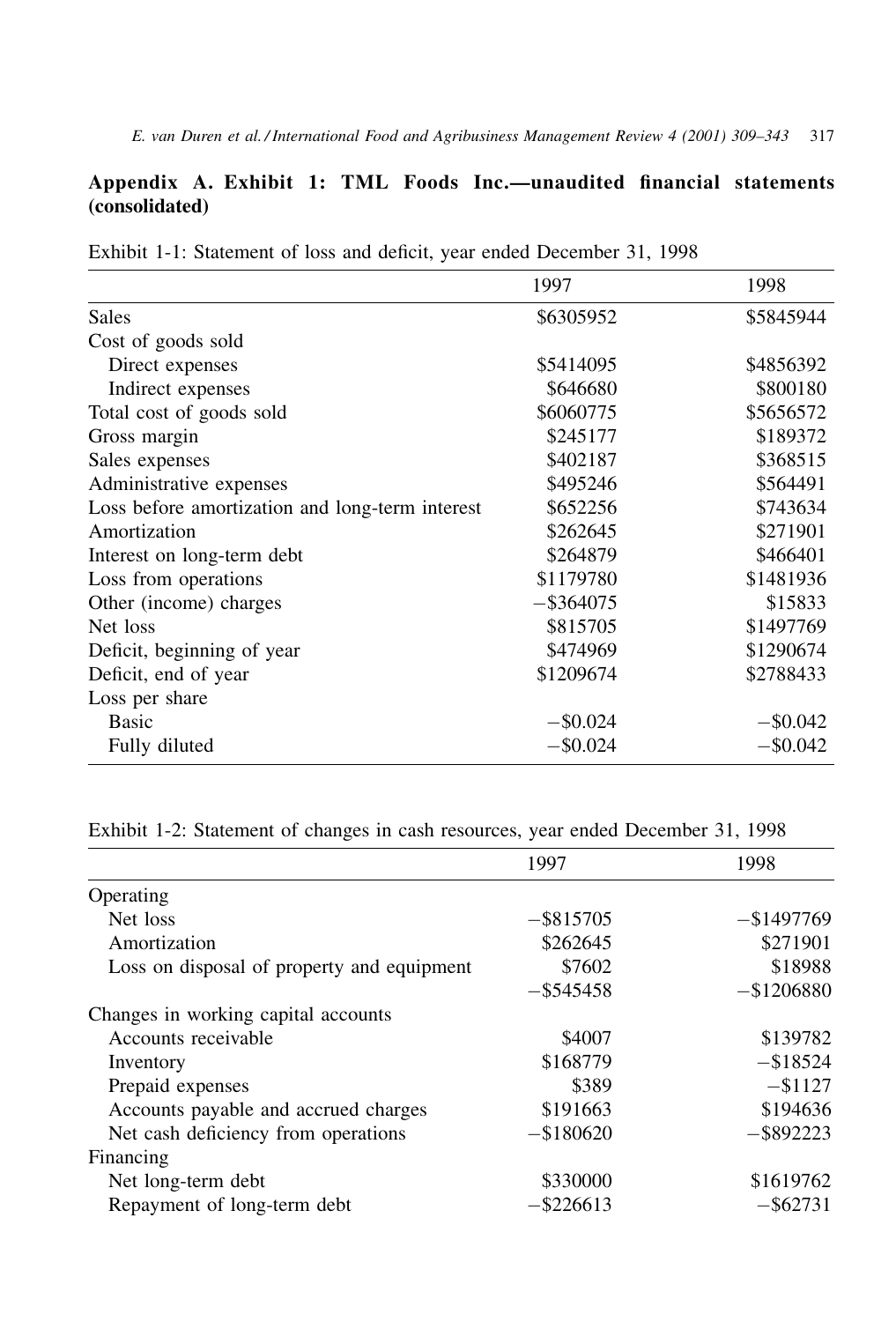# Appendix A. Exhibit 1: TML Foods Inc.—unaudited financial statements (consolidated)

|                                                 | 1997         | 1998        |
|-------------------------------------------------|--------------|-------------|
| Sales                                           | \$6305952    | \$5845944   |
| Cost of goods sold                              |              |             |
| Direct expenses                                 | \$5414095    | \$4856392   |
| Indirect expenses                               | \$646680     | \$800180    |
| Total cost of goods sold                        | \$6060775    | \$5656572   |
| Gross margin                                    | \$245177     | \$189372    |
| Sales expenses                                  | \$402187     | \$368515    |
| Administrative expenses                         | \$495246     | \$564491    |
| Loss before amortization and long-term interest | \$652256     | \$743634    |
| Amortization                                    | \$262645     | \$271901    |
| Interest on long-term debt                      | \$264879     | \$466401    |
| Loss from operations                            | \$1179780    | \$1481936   |
| Other (income) charges                          | $-$ \$364075 | \$15833     |
| Net loss                                        | \$815705     | \$1497769   |
| Deficit, beginning of year                      | \$474969     | \$1290674   |
| Deficit, end of year                            | \$1209674    | \$2788433   |
| Loss per share                                  |              |             |
| <b>Basic</b>                                    | $-$ \$0.024  | $-$ \$0.042 |
| Fully diluted                                   | $-$ \$0.024  | $-$ \$0.042 |

Exhibit 1-1: Statement of loss and deficit, year ended December 31, 1998

Exhibit 1-2: Statement of changes in cash resources, year ended December 31, 1998

|                                            | 1997         | 1998          |
|--------------------------------------------|--------------|---------------|
| Operating                                  |              |               |
| Net loss                                   | $-$ \$815705 | $-$ \$1497769 |
| Amortization                               | \$262645     | \$271901      |
| Loss on disposal of property and equipment | \$7602       | \$18988       |
|                                            | $-$ \$545458 | $-$ \$1206880 |
| Changes in working capital accounts        |              |               |
| Accounts receivable                        | \$4007       | \$139782      |
| Inventory                                  | \$168779     | $-$ \$18524   |
| Prepaid expenses                           | \$389        | $-$ \$1127    |
| Accounts payable and accrued charges       | \$191663     | \$194636      |
| Net cash deficiency from operations        | $-$ \$180620 | $-$ \$892223  |
| Financing                                  |              |               |
| Net long-term debt                         | \$330000     | \$1619762     |
| Repayment of long-term debt                | $-$ \$226613 | $-$ \$62731   |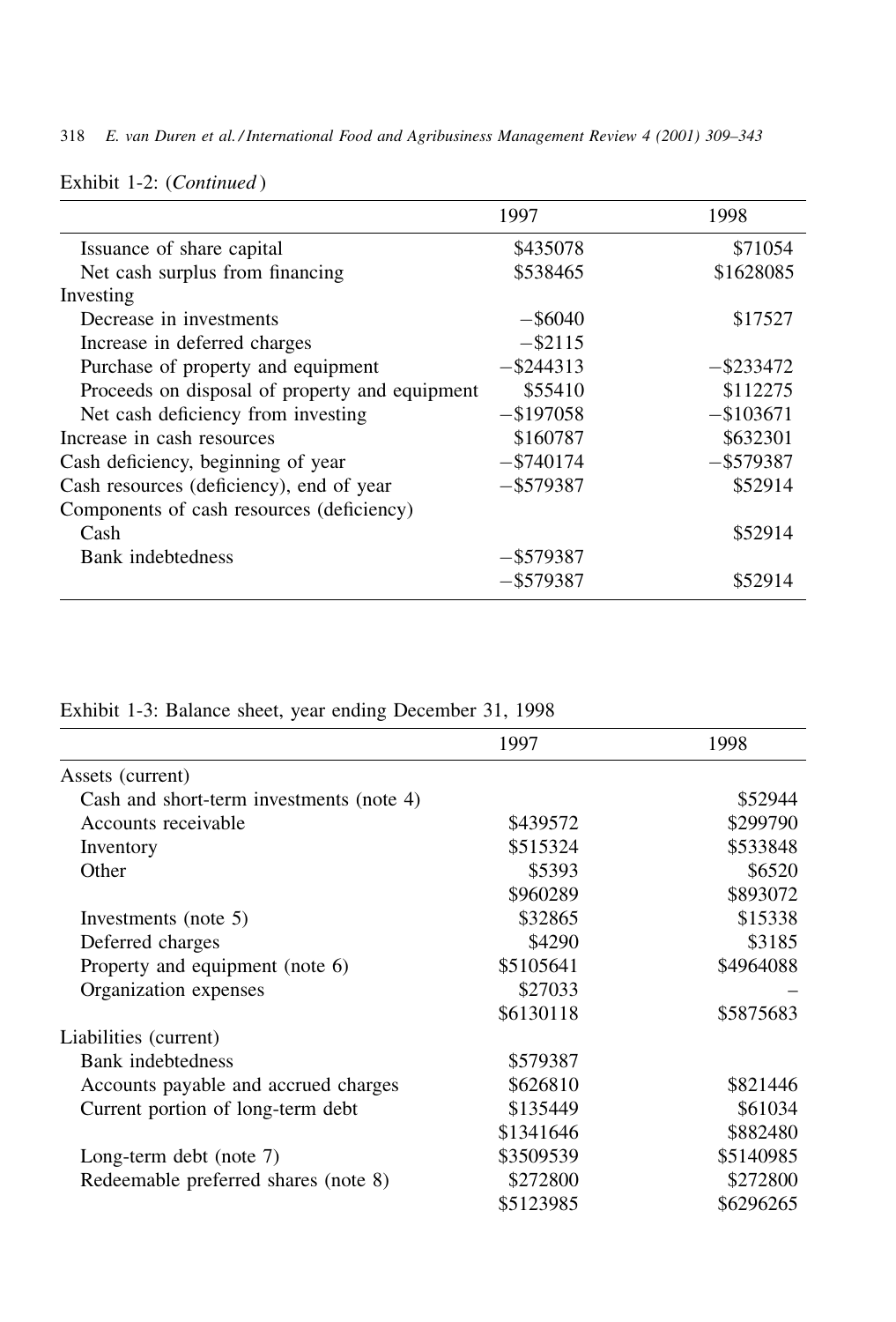318 E. van Duren et al./International Food and Agribusiness Management Review 4 (2001) 309-343

|                                                | 1997         | 1998         |
|------------------------------------------------|--------------|--------------|
| Issuance of share capital                      | \$435078     | \$71054      |
| Net cash surplus from financing                | \$538465     | \$1628085    |
| Investing                                      |              |              |
| Decrease in investments                        | $-$ \$6040   | \$17527      |
| Increase in deferred charges                   | $-$ \$2115   |              |
| Purchase of property and equipment             | $-$ \$244313 | $-$ \$233472 |
| Proceeds on disposal of property and equipment | \$55410      | \$112275     |
| Net cash deficiency from investing             | $-$ \$197058 | $-$ \$103671 |
| Increase in cash resources                     | \$160787     | \$632301     |
| Cash deficiency, beginning of year             | $-$ \$740174 | $-$ \$579387 |
| Cash resources (deficiency), end of year       | $-$ \$579387 | \$52914      |
| Components of cash resources (deficiency)      |              |              |
| Cash                                           |              | \$52914      |
| Bank indebtedness                              | $-$ \$579387 |              |
|                                                | $-$ \$579387 | \$52914      |

# Exhibit 1-2: (Continued)

| Exhibit 1-3: Balance sheet, year ending December 31, 1998 |  |  |  |
|-----------------------------------------------------------|--|--|--|
|                                                           |  |  |  |

|                                          | 1997      | 1998      |
|------------------------------------------|-----------|-----------|
| Assets (current)                         |           |           |
| Cash and short-term investments (note 4) |           | \$52944   |
| Accounts receivable                      | \$439572  | \$299790  |
| Inventory                                | \$515324  | \$533848  |
| Other                                    | \$5393    | \$6520    |
|                                          | \$960289  | \$893072  |
| Investments (note 5)                     | \$32865   | \$15338   |
| Deferred charges                         | \$4290    | \$3185    |
| Property and equipment (note 6)          | \$5105641 | \$4964088 |
| Organization expenses                    | \$27033   |           |
|                                          | \$6130118 | \$5875683 |
| Liabilities (current)                    |           |           |
| Bank indebtedness                        | \$579387  |           |
| Accounts payable and accrued charges     | \$626810  | \$821446  |
| Current portion of long-term debt        | \$135449  | \$61034   |
|                                          | \$1341646 | \$882480  |
| Long-term debt (note 7)                  | \$3509539 | \$5140985 |
| Redeemable preferred shares (note 8)     | \$272800  | \$272800  |
|                                          | \$5123985 | \$6296265 |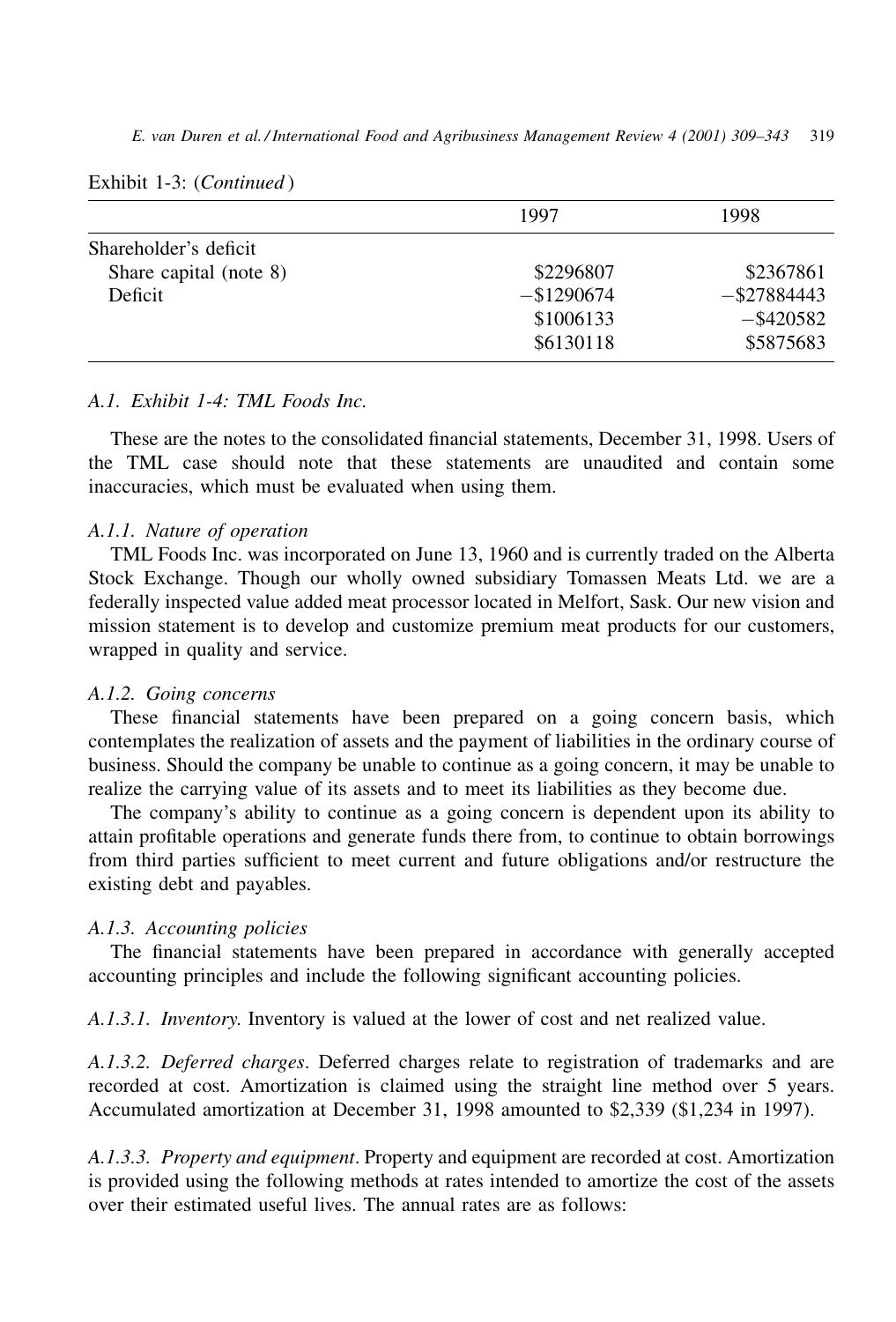|  | Exhibit 1-3: (Continued) |  |
|--|--------------------------|--|
|  |                          |  |

|                        | 1997          | 1998           |
|------------------------|---------------|----------------|
| Shareholder's deficit  |               |                |
| Share capital (note 8) | \$2296807     | \$2367861      |
| Deficit                | $-$ \$1290674 | $-$ \$27884443 |
|                        | \$1006133     | $-$ \$420582   |
|                        | \$6130118     | \$5875683      |

## A.1. Exhibit 1-4: TML Foods Inc.

These are the notes to the consolidated financial statements. December 31, 1998. Users of the TML case should note that these statements are unaudited and contain some inaccuracies, which must be evaluated when using them.

#### A.1.1. Nature of operation

TML Foods Inc. was incorporated on June 13, 1960 and is currently traded on the Alberta Stock Exchange. Though our wholly owned subsidiary Tomassen Meats Ltd. we are a federally inspected value added meat processor located in Melfort, Sask. Our new vision and mission statement is to develop and customize premium meat products for our customers, wrapped in quality and service.

#### A.1.2. Going concerns

These financial statements have been prepared on a going concern basis, which contemplates the realization of assets and the payment of liabilities in the ordinary course of business. Should the company be unable to continue as a going concern, it may be unable to realize the carrying value of its assets and to meet its liabilities as they become due.

The company's ability to continue as a going concern is dependent upon its ability to attain profitable operations and generate funds there from, to continue to obtain borrowings from third parties sufficient to meet current and future obligations and/or restructure the existing debt and payables.

#### A.1.3. Accounting policies

The financial statements have been prepared in accordance with generally accepted accounting principles and include the following significant accounting policies.

A.1.3.1. Inventory. Inventory is valued at the lower of cost and net realized value.

A.1.3.2. Deferred charges. Deferred charges relate to registration of trademarks and are recorded at cost. Amortization is claimed using the straight line method over 5 years. Accumulated amortization at December 31, 1998 amounted to \$2,339 (\$1,234 in 1997).

A.1.3.3. Property and equipment. Property and equipment are recorded at cost. Amortization is provided using the following methods at rates intended to amortize the cost of the assets over their estimated useful lives. The annual rates are as follows: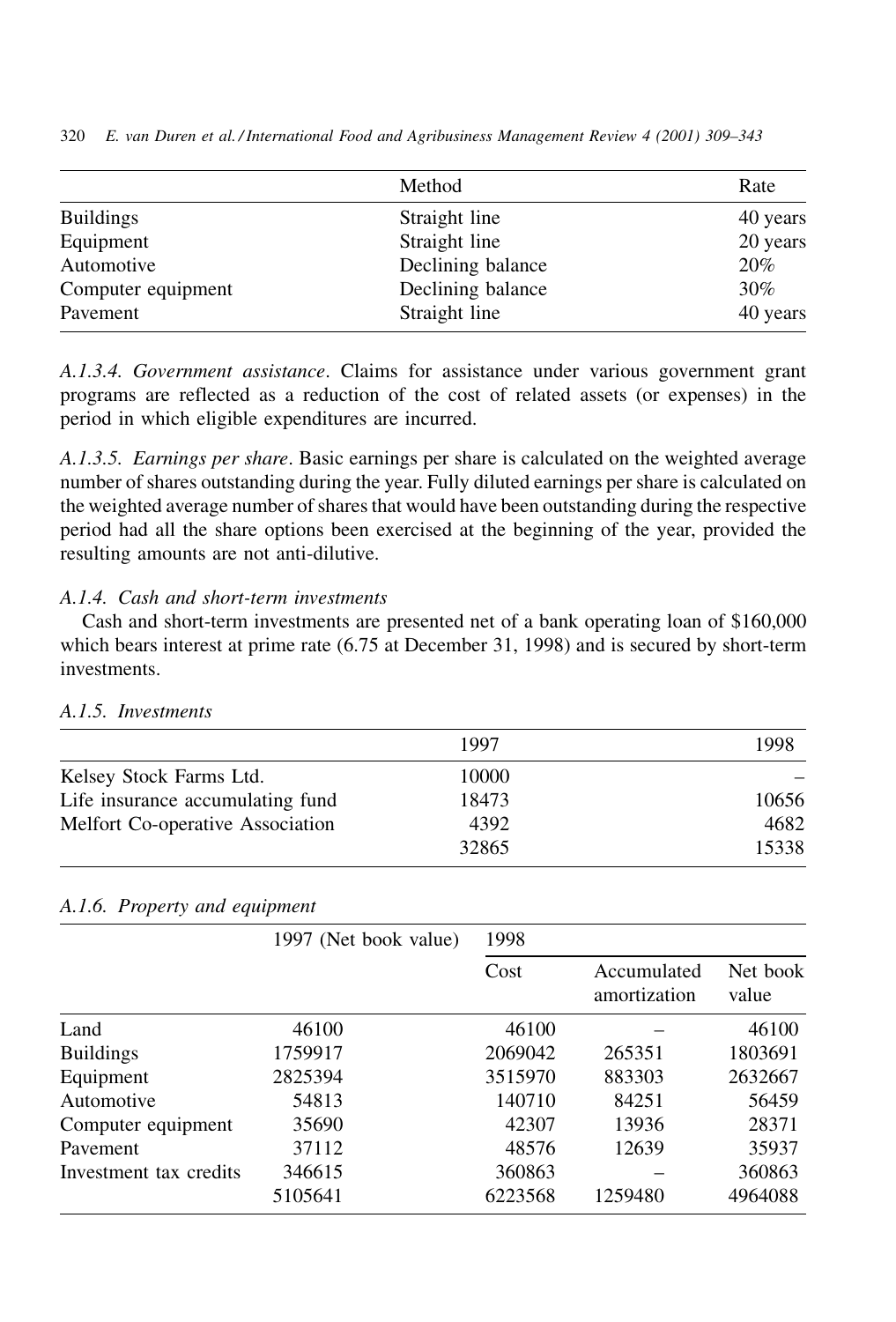|                    | Method            | Rate     |
|--------------------|-------------------|----------|
| <b>Buildings</b>   | Straight line     | 40 years |
| Equipment          | Straight line     | 20 years |
| Automotive         | Declining balance | 20%      |
| Computer equipment | Declining balance | 30%      |
| Pavement           | Straight line     | 40 years |

320 E. van Duren et al./International Food and Agribusiness Management Review 4 (2001) 309–343

A.1.3.4. Government assistance. Claims for assistance under various government grant programs are reflected as a reduction of the cost of related assets (or expenses) in the period in which eligible expenditures are incurred.

A.1.3.5. Earnings per share. Basic earnings per share is calculated on the weighted average number of shares outstanding during the year. Fully diluted earnings per share is calculated on the weighted average number of shares that would have been outstanding during the respective period had all the share options been exercised at the beginning of the year, provided the resulting amounts are not anti-dilutive.

## A.1.4. Cash and short-term investments

Cash and short-term investments are presented net of a bank operating loan of \$160,000 which bears interest at prime rate (6.75 at December 31, 1998) and is secured by short-term investments.

| 1997  | 1998  |
|-------|-------|
| 10000 |       |
| 18473 | 10656 |
| 4392  | 4682  |
| 32865 | 15338 |
|       |       |

# A.1.5. Investments

## A.1.6. Property and equipment

|                        | 1997 (Net book value) | 1998    |                             |                   |
|------------------------|-----------------------|---------|-----------------------------|-------------------|
|                        |                       | Cost    | Accumulated<br>amortization | Net book<br>value |
| Land                   | 46100                 | 46100   |                             | 46100             |
| <b>Buildings</b>       | 1759917               | 2069042 | 265351                      | 1803691           |
| Equipment              | 2825394               | 3515970 | 883303                      | 2632667           |
| Automotive             | 54813                 | 140710  | 84251                       | 56459             |
| Computer equipment     | 35690                 | 42307   | 13936                       | 28371             |
| Pavement               | 37112                 | 48576   | 12639                       | 35937             |
| Investment tax credits | 346615                | 360863  |                             | 360863            |
|                        | 5105641               | 6223568 | 1259480                     | 4964088           |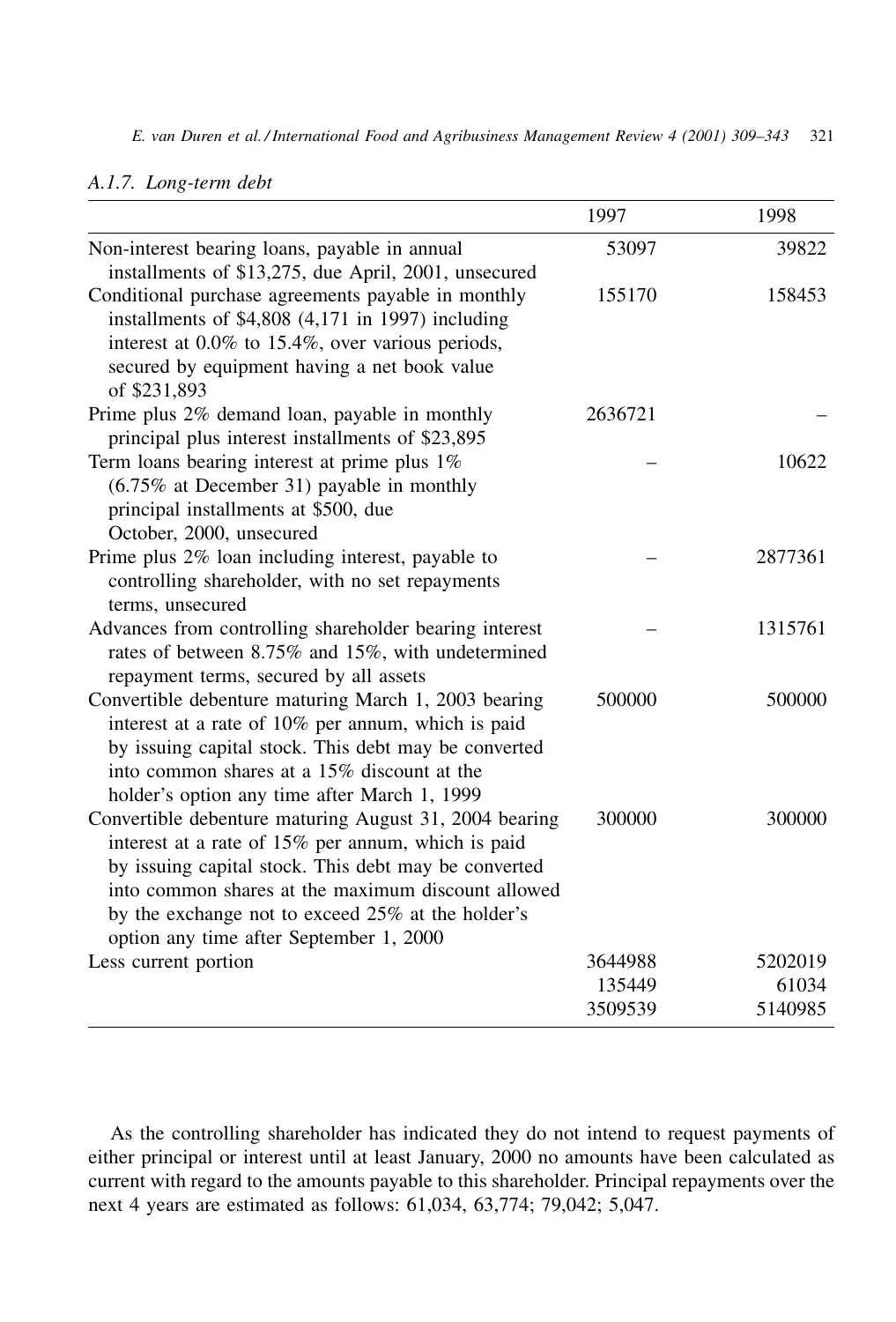## A.1.7. Long-term debt

|                                                                                                                                                                                                                                                                                                                            | 1997                         | 1998                        |
|----------------------------------------------------------------------------------------------------------------------------------------------------------------------------------------------------------------------------------------------------------------------------------------------------------------------------|------------------------------|-----------------------------|
| Non-interest bearing loans, payable in annual<br>installments of \$13,275, due April, 2001, unsecured                                                                                                                                                                                                                      | 53097                        | 39822                       |
| Conditional purchase agreements payable in monthly<br>installments of $$4,808$ (4,171 in 1997) including<br>interest at 0.0% to 15.4%, over various periods,<br>secured by equipment having a net book value<br>of \$231,893                                                                                               | 155170                       | 158453                      |
| Prime plus 2% demand loan, payable in monthly<br>principal plus interest installments of \$23,895                                                                                                                                                                                                                          | 2636721                      |                             |
| Term loans bearing interest at prime plus 1%<br>$(6.75\%$ at December 31) payable in monthly<br>principal installments at \$500, due<br>October, 2000, unsecured                                                                                                                                                           |                              | 10622                       |
| Prime plus 2% loan including interest, payable to<br>controlling shareholder, with no set repayments<br>terms, unsecured                                                                                                                                                                                                   |                              | 2877361                     |
| Advances from controlling shareholder bearing interest<br>rates of between 8.75% and 15%, with undetermined<br>repayment terms, secured by all assets                                                                                                                                                                      |                              | 1315761                     |
| Convertible debenture maturing March 1, 2003 bearing<br>interest at a rate of 10% per annum, which is paid<br>by issuing capital stock. This debt may be converted<br>into common shares at a 15% discount at the<br>holder's option any time after March 1, 1999                                                          | 500000                       | 500000                      |
| Convertible debenture maturing August 31, 2004 bearing<br>interest at a rate of 15% per annum, which is paid<br>by issuing capital stock. This debt may be converted<br>into common shares at the maximum discount allowed<br>by the exchange not to exceed 25% at the holder's<br>option any time after September 1, 2000 | 300000                       | 300000                      |
| Less current portion                                                                                                                                                                                                                                                                                                       | 3644988<br>135449<br>3509539 | 5202019<br>61034<br>5140985 |

As the controlling shareholder has indicated they do not intend to request payments of either principal or interest until at least January, 2000 no amounts have been calculated as current with regard to the amounts payable to this shareholder. Principal repayments over the next 4 years are estimated as follows: 61,034, 63,774; 79,042; 5,047.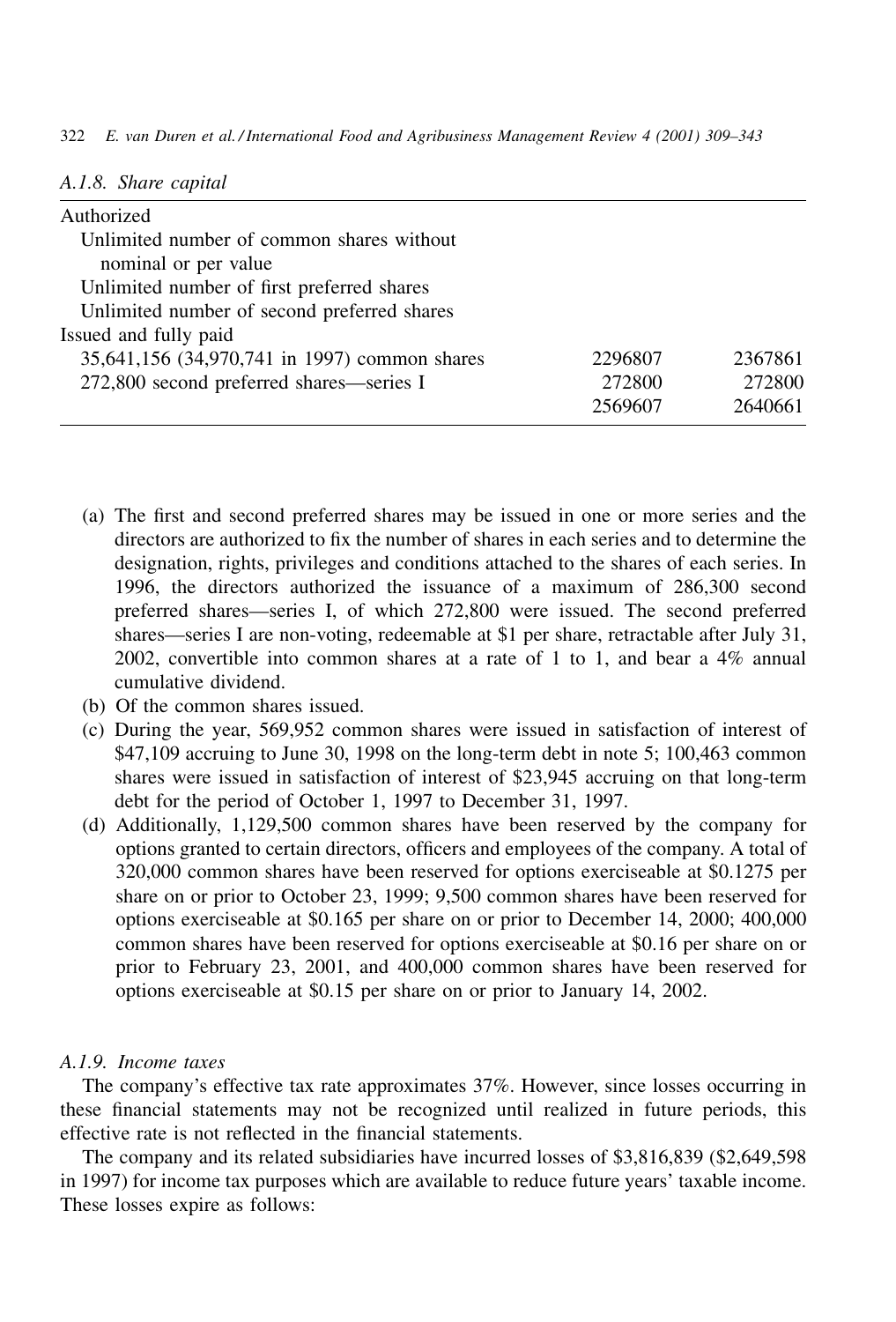322 E. van Duren et al./International Food and Agribusiness Management Review 4 (2001) 309–343

|  |  | A.1.8. Share capital |
|--|--|----------------------|
|--|--|----------------------|

| Authorized                                    |         |         |
|-----------------------------------------------|---------|---------|
| Unlimited number of common shares without     |         |         |
| nominal or per value                          |         |         |
| Unlimited number of first preferred shares    |         |         |
| Unlimited number of second preferred shares   |         |         |
| Issued and fully paid                         |         |         |
| 35,641,156 (34,970,741 in 1997) common shares | 2296807 | 2367861 |
| 272,800 second preferred shares—series I      | 272800  | 272800  |
|                                               | 2569607 | 2640661 |
|                                               |         |         |

- (a) The first and second preferred shares may be issued in one or more series and the directors are authorized to fix the number of shares in each series and to determine the designation, rights, privileges and conditions attached to the shares of each series. In 1996, the directors authorized the issuance of a maximum of 286,300 second preferred shares—series I, of which 272,800 were issued. The second preferred shares—series I are non-voting, redeemable at \$1 per share, retractable after July 31, 2002, convertible into common shares at a rate of 1 to 1, and bear a  $4\%$  annual cumulative dividend.
- (b) Of the common shares issued.
- (c) During the year, 569,952 common shares were issued in satisfaction of interest of  $$47,109$  accruing to June 30, 1998 on the long-term debt in note 5; 100,463 common shares were issued in satisfaction of interest of \$23,945 accruing on that long-term debt for the period of October 1, 1997 to December 31, 1997.
- (d) Additionally, 1,129,500 common shares have been reserved by the company for options granted to certain directors, officers and employees of the company. A total of 320,000 common shares have been reserved for options exerciseable at \$0.1275 per share on or prior to October 23, 1999; 9,500 common shares have been reserved for options exerciseable at \$0.165 per share on or prior to December 14, 2000; 400,000 common shares have been reserved for options exerciseable at \$0.16 per share on or prior to February 23, 2001, and 400,000 common shares have been reserved for options exerciseable at \$0.15 per share on or prior to January 14, 2002.

#### A.1.9. Income taxes

The company's effective tax rate approximates 37%. However, since losses occurring in these financial statements may not be recognized until realized in future periods, this effective rate is not reflected in the financial statements.

The company and its related subsidiaries have incurred losses of \$3,816,839 (\$2,649,598) in 1997) for income tax purposes which are available to reduce future years' taxable income. These losses expire as follows: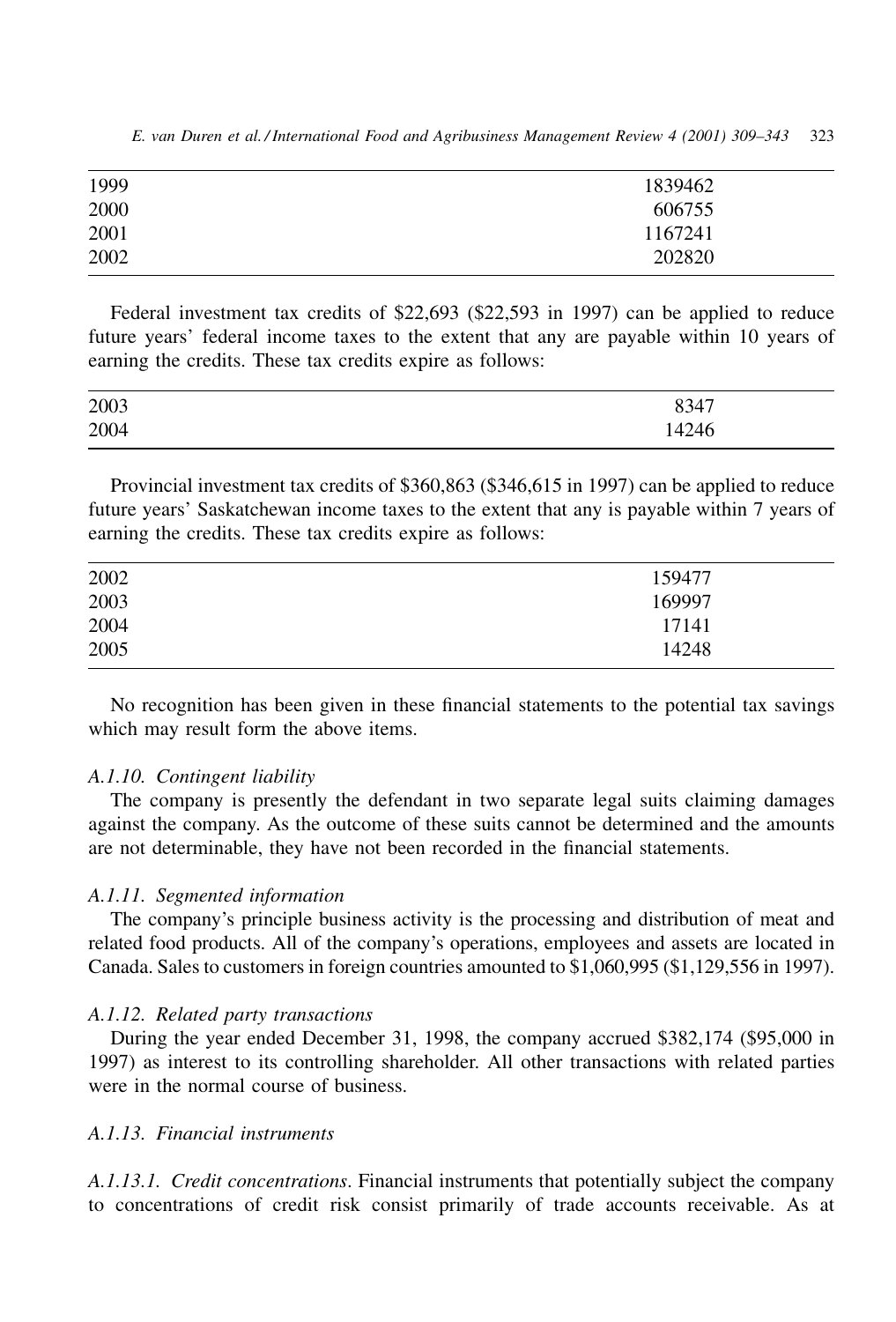| 1999 | 1839462 |
|------|---------|
| 2000 | 606755  |
| 2001 | 1167241 |
| 2002 | 202820  |

E. van Duren et al./International Food and Agribusiness Management Review 4 (2001) 309–343 323

Federal investment tax credits of \$22,693 (\$22,593 in 1997) can be applied to reduce future years' federal income taxes to the extent that any are payable within 10 years of earning the credits. These tax credits expire as follows:

| 2003 | 8347  |
|------|-------|
| 2004 | 14246 |

Provincial investment tax credits of \$360,863 (\$346,615 in 1997) can be applied to reduce future years' Saskatchewan income taxes to the extent that any is payable within 7 years of earning the credits. These tax credits expire as follows:

| 2002 | 159477 |
|------|--------|
| 2003 | 169997 |
| 2004 | 17141  |
| 2005 | 14248  |

No recognition has been given in these financial statements to the potential tax savings which may result form the above items.

## A.1.10. Contingent liability

The company is presently the defendant in two separate legal suits claiming damages against the company. As the outcome of these suits cannot be determined and the amounts are not determinable, they have not been recorded in the financial statements.

## A.1.11. Segmented information

The company's principle business activity is the processing and distribution of meat and related food products. All of the company's operations, employees and assets are located in Canada. Sales to customers in foreign countries amounted to \$1,060,995 (\$1,129,556 in 1997).

## A.1.12. Related party transactions

During the year ended December 31, 1998, the company accrued \$382,174 (\$95,000 in 1997) as interest to its controlling shareholder. All other transactions with related parties were in the normal course of business

## A.1.13. Financial instruments

A.1.13.1. Credit concentrations. Financial instruments that potentially subject the company to concentrations of credit risk consist primarily of trade accounts receivable. As at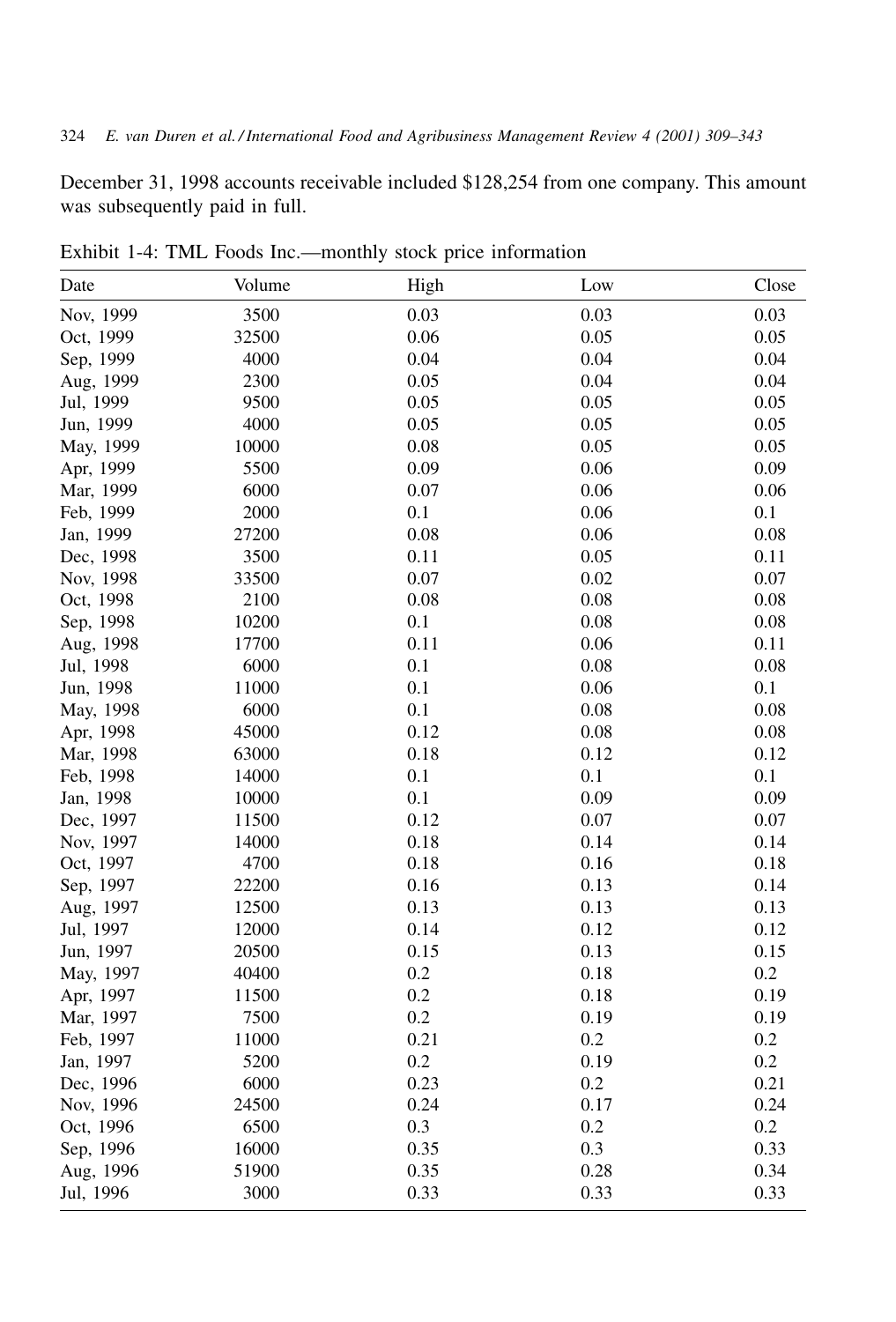December 31, 1998 accounts receivable included \$128,254 from one company. This amount was subsequently paid in full.

| Date      | Volume | High | Low  | Close |
|-----------|--------|------|------|-------|
| Nov, 1999 | 3500   | 0.03 | 0.03 | 0.03  |
| Oct, 1999 | 32500  | 0.06 | 0.05 | 0.05  |
| Sep, 1999 | 4000   | 0.04 | 0.04 | 0.04  |
| Aug, 1999 | 2300   | 0.05 | 0.04 | 0.04  |
| Jul, 1999 | 9500   | 0.05 | 0.05 | 0.05  |
| Jun, 1999 | 4000   | 0.05 | 0.05 | 0.05  |
| May, 1999 | 10000  | 0.08 | 0.05 | 0.05  |
| Apr, 1999 | 5500   | 0.09 | 0.06 | 0.09  |
| Mar, 1999 | 6000   | 0.07 | 0.06 | 0.06  |
| Feb, 1999 | 2000   | 0.1  | 0.06 | 0.1   |
| Jan, 1999 | 27200  | 0.08 | 0.06 | 0.08  |
| Dec, 1998 | 3500   | 0.11 | 0.05 | 0.11  |
| Nov, 1998 | 33500  | 0.07 | 0.02 | 0.07  |
| Oct, 1998 | 2100   | 0.08 | 0.08 | 0.08  |
| Sep, 1998 | 10200  | 0.1  | 0.08 | 0.08  |
| Aug, 1998 | 17700  | 0.11 | 0.06 | 0.11  |
| Jul, 1998 | 6000   | 0.1  | 0.08 | 0.08  |
| Jun, 1998 | 11000  | 0.1  | 0.06 | 0.1   |
| May, 1998 | 6000   | 0.1  | 0.08 | 0.08  |
| Apr, 1998 | 45000  | 0.12 | 0.08 | 0.08  |
| Mar, 1998 | 63000  | 0.18 | 0.12 | 0.12  |
| Feb, 1998 | 14000  | 0.1  | 0.1  | 0.1   |
| Jan, 1998 | 10000  | 0.1  | 0.09 | 0.09  |
| Dec, 1997 | 11500  | 0.12 | 0.07 | 0.07  |
| Nov, 1997 | 14000  | 0.18 | 0.14 | 0.14  |
| Oct, 1997 | 4700   | 0.18 | 0.16 | 0.18  |
| Sep, 1997 | 22200  | 0.16 | 0.13 | 0.14  |
| Aug, 1997 | 12500  | 0.13 | 0.13 | 0.13  |
| Jul, 1997 | 12000  | 0.14 | 0.12 | 0.12  |
| Jun, 1997 | 20500  | 0.15 | 0.13 | 0.15  |
| May, 1997 | 40400  | 0.2  | 0.18 | 0.2   |
| Apr, 1997 | 11500  | 0.2  | 0.18 | 0.19  |
| Mar, 1997 | 7500   | 0.2  | 0.19 | 0.19  |
| Feb, 1997 | 11000  | 0.21 | 0.2  | 0.2   |
| Jan, 1997 | 5200   | 0.2  | 0.19 | 0.2   |
| Dec, 1996 | 6000   | 0.23 | 0.2  | 0.21  |
| Nov, 1996 | 24500  | 0.24 | 0.17 | 0.24  |
| Oct, 1996 | 6500   | 0.3  | 0.2  | 0.2   |
| Sep, 1996 | 16000  | 0.35 | 0.3  | 0.33  |
| Aug, 1996 | 51900  | 0.35 | 0.28 | 0.34  |
| Jul, 1996 | 3000   | 0.33 | 0.33 | 0.33  |

Exhibit 1-4: TML Foods Inc.—monthly stock price information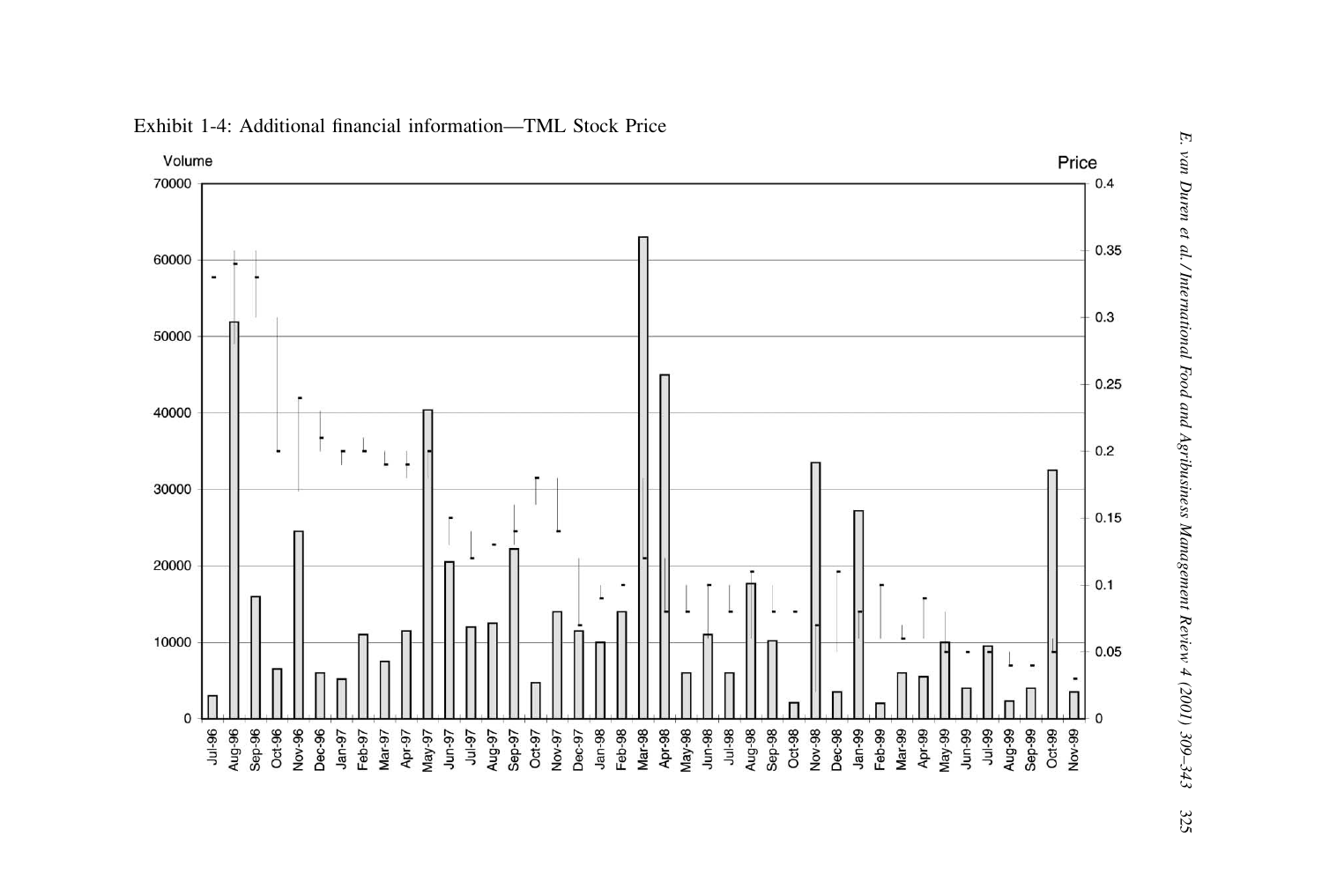

## Exhibit 1-4: Additional financial information—TML Stock Price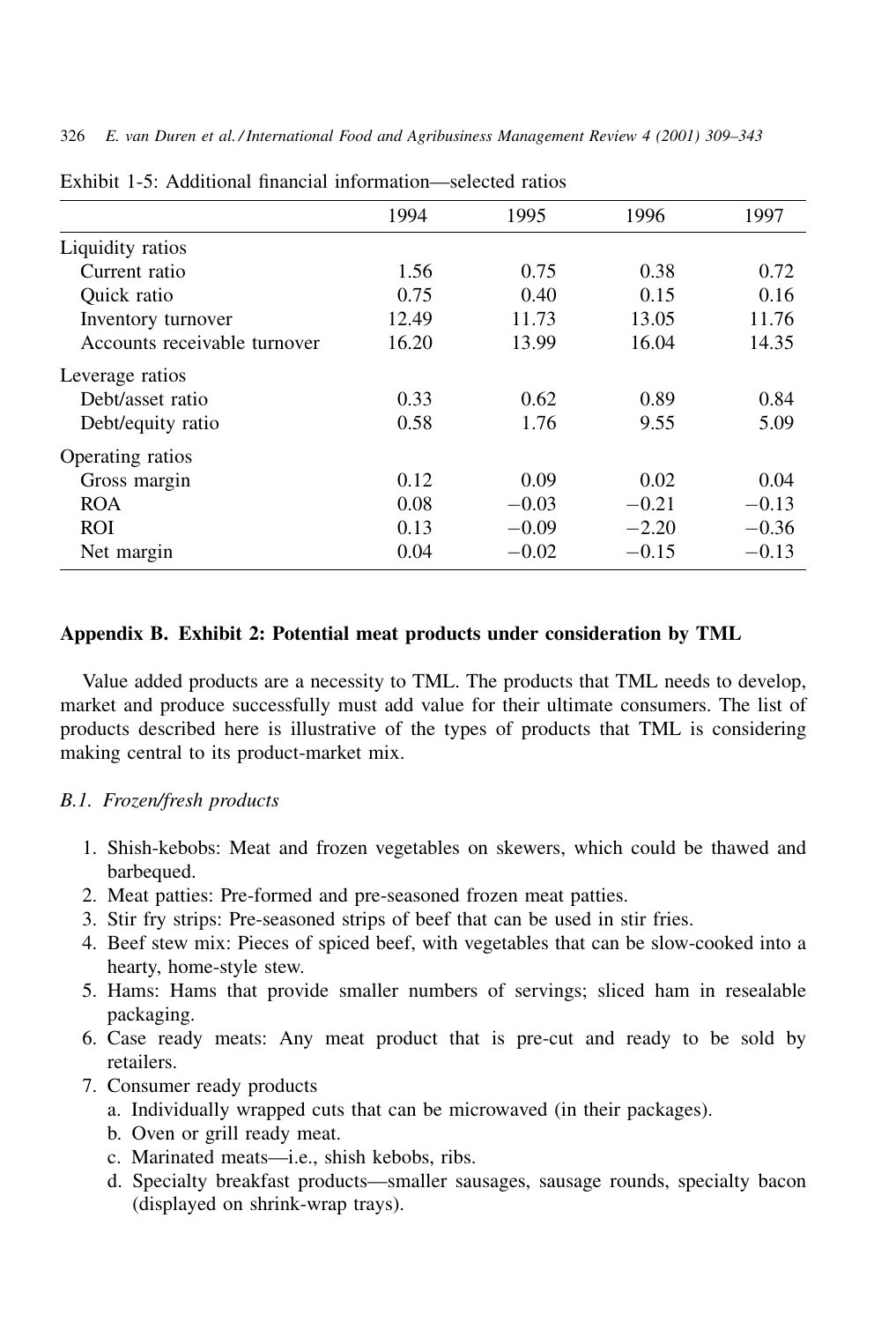326 E. van Duren et al./International Food and Agribusiness Management Review 4 (2001) 309–343

|                              | 1994  | 1995    | 1996    | 1997    |
|------------------------------|-------|---------|---------|---------|
| Liquidity ratios             |       |         |         |         |
| Current ratio                | 1.56  | 0.75    | 0.38    | 0.72    |
| Quick ratio                  | 0.75  | 0.40    | 0.15    | 0.16    |
| Inventory turnover           | 12.49 | 11.73   | 13.05   | 11.76   |
| Accounts receivable turnover | 16.20 | 13.99   | 16.04   | 14.35   |
| Leverage ratios              |       |         |         |         |
| Debt/asset ratio             | 0.33  | 0.62    | 0.89    | 0.84    |
| Debt/equity ratio            | 0.58  | 1.76    | 9.55    | 5.09    |
| Operating ratios             |       |         |         |         |
| Gross margin                 | 0.12  | 0.09    | 0.02    | 0.04    |
| <b>ROA</b>                   | 0.08  | $-0.03$ | $-0.21$ | $-0.13$ |
| <b>ROI</b>                   | 0.13  | $-0.09$ | $-2.20$ | $-0.36$ |
| Net margin                   | 0.04  | $-0.02$ | $-0.15$ | $-0.13$ |

Exhibit 1-5: Additional financial information—selected ratios

## Appendix B. Exhibit 2: Potential meat products under consideration by TML

Value added products are a necessity to TML. The products that TML needs to develop, market and produce successfully must add value for their ultimate consumers. The list of products described here is illustrative of the types of products that TML is considering making central to its product-market mix.

## B.1. Frozen/fresh products

- 1. Shish-kebobs: Meat and frozen vegetables on skewers, which could be thawed and barbequed.
- 2. Meat patties: Pre-formed and pre-seasoned frozen meat patties.
- 3. Stir fry strips: Pre-seasoned strips of beef that can be used in stir fries.
- 4. Beef stew mix: Pieces of spiced beef, with vegetables that can be slow-cooked into a hearty, home-style stew.
- 5. Hams: Hams that provide smaller numbers of servings; sliced ham in resealable packaging.
- 6. Case ready meats: Any meat product that is pre-cut and ready to be sold by retailers.
- 7. Consumer ready products
	- a. Individually wrapped cuts that can be microwaved (in their packages).
	- b. Oven or grill ready meat.
	- c. Marinated meats—i.e., shish kebobs, ribs.
	- d. Specialty breakfast products-smaller sausages, sausage rounds, specialty bacon (displayed on shrink-wrap trays).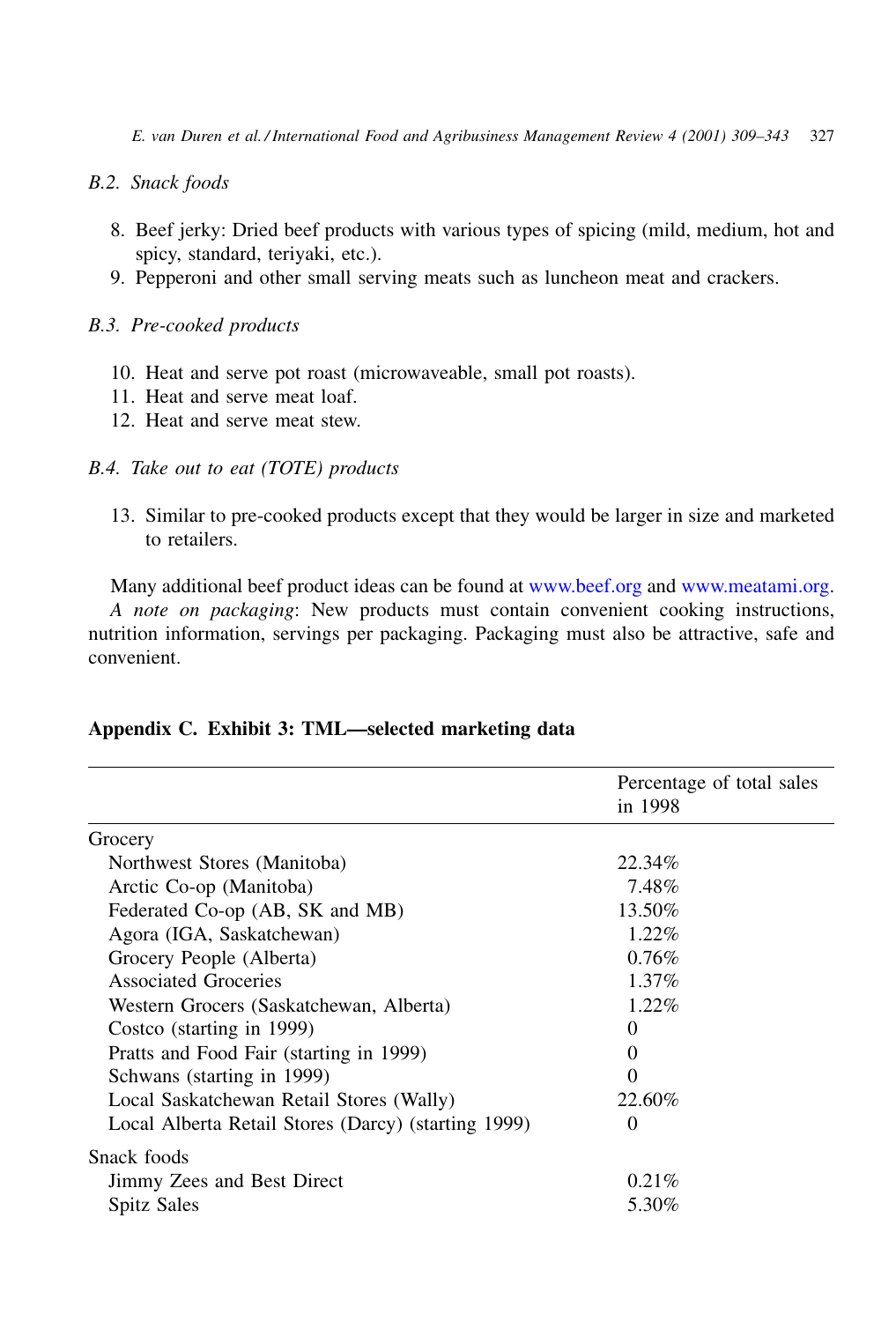E. van Duren et al./International Food and Agribusiness Management Review 4 (2001) 309–343 327

## B.2. Snack foods

- 8. Beef jerky: Dried beef products with various types of spicing (mild, medium, hot and spicy, standard, teriyaki, etc.).
- 9. Pepperoni and other small serving meats such as luncheon meat and crackers.

## B.3. Pre-cooked products

- 10. Heat and serve pot roast (microwaveable, small pot roasts).
- 11. Heat and serve meat loaf.
- 12. Heat and serve meat stew.

## B.4. Take out to eat (TOTE) products

13. Similar to pre-cooked products except that they would be larger in size and marketed to retailers.

Many additional beef product ideas can be found at www.beef.org and www.meatami.org. A note on packaging: New products must contain convenient cooking instructions, nutrition information, servings per packaging. Packaging must also be attractive, safe and convenient

|                                                     | Percentage of total sales<br>in 1998 |
|-----------------------------------------------------|--------------------------------------|
|                                                     |                                      |
| Grocery                                             |                                      |
| Northwest Stores (Manitoba)                         | 22.34\%                              |
| Arctic Co-op (Manitoba)                             | 7.48%                                |
| Federated Co-op (AB, SK and MB)                     | 13.50%                               |
| Agora (IGA, Saskatchewan)                           | $1.22\%$                             |
| Grocery People (Alberta)                            | 0.76%                                |
| <b>Associated Groceries</b>                         | $1.37\%$                             |
| Western Grocers (Saskatchewan, Alberta)             | $1.22\%$                             |
| Costco (starting in 1999)                           | $\theta$                             |
| Pratts and Food Fair (starting in 1999)             | 0                                    |
| Schwans (starting in 1999)                          | $\theta$                             |
| Local Saskatchewan Retail Stores (Wally)            | 22.60%                               |
| Local Alberta Retail Stores (Darcy) (starting 1999) | 0                                    |
| Snack foods                                         |                                      |
| Jimmy Zees and Best Direct                          | $0.21\%$                             |
| Spitz Sales                                         | 5.30%                                |

## Appendix C. Exhibit 3: TML—selected marketing data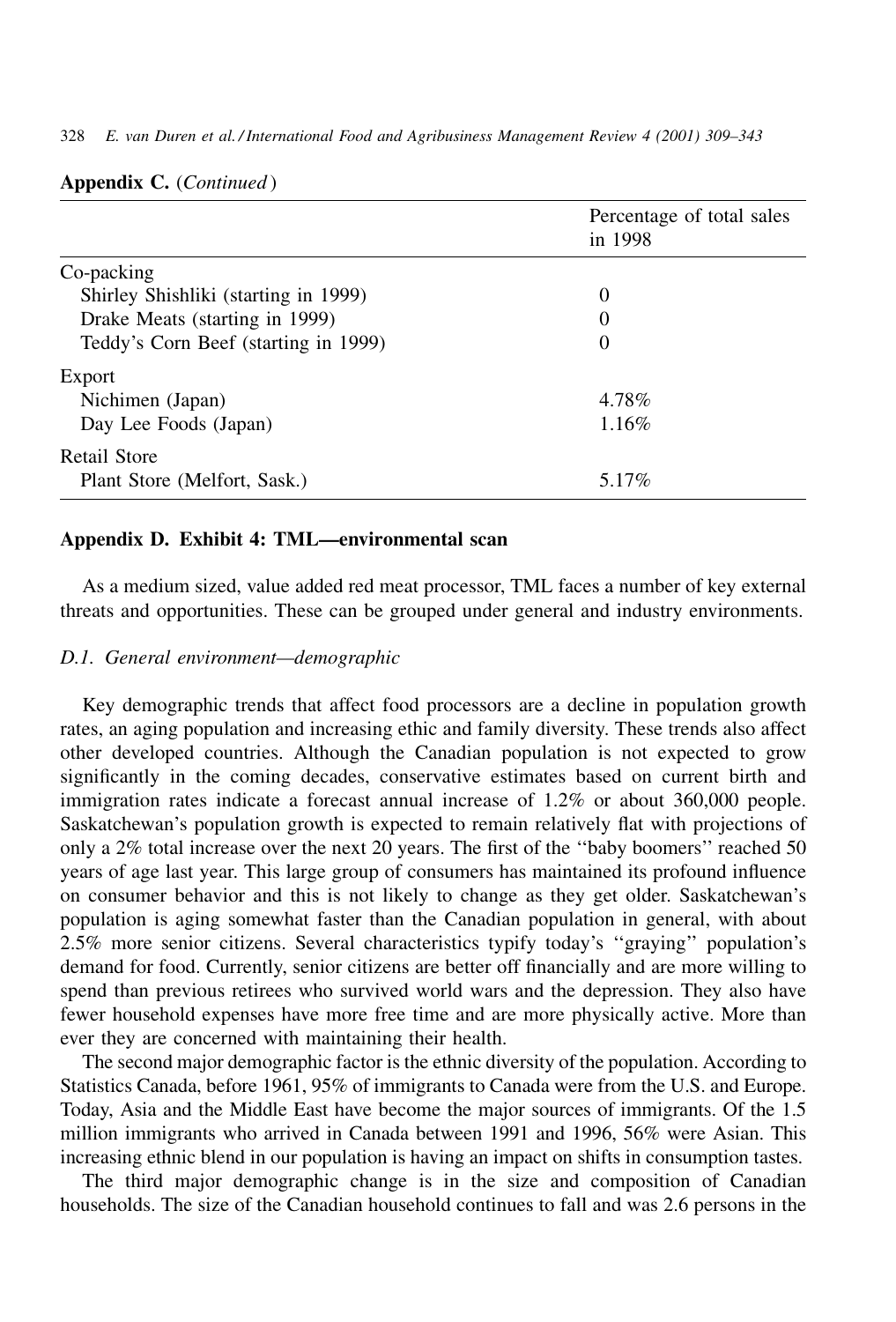| Appendix C. (Continued)              |                                      |  |  |  |  |
|--------------------------------------|--------------------------------------|--|--|--|--|
|                                      | Percentage of total sales<br>in 1998 |  |  |  |  |
| Co-packing                           |                                      |  |  |  |  |
| Shirley Shishliki (starting in 1999) |                                      |  |  |  |  |
| Drake Meats (starting in 1999)       |                                      |  |  |  |  |

 $\overline{0}$ 

4.78%

1.16%

5.17%

E. van Duren et al./International Food and Agribusiness Management Review 4 (2001) 309–343 328

### Appendix D. Exhibit 4: TML—environmental scan

As a medium sized, value added red meat processor, TML faces a number of key external threats and opportunities. These can be grouped under general and industry environments.

#### D.1. General environment—demographic

Teddy's Corn Beef (starting in 1999)

Export

**Retail Store** 

Nichimen (Japan)

Day Lee Foods (Japan)

Plant Store (Melfort, Sask.)

Key demographic trends that affect food processors are a decline in population growth rates, an aging population and increasing ethic and family diversity. These trends also affect other developed countries. Although the Canadian population is not expected to grow significantly in the coming decades, conservative estimates based on current birth and immigration rates indicate a forecast annual increase of 1.2% or about 360,000 people. Saskatchewan's population growth is expected to remain relatively flat with projections of only a 2% total increase over the next 20 years. The first of the "baby boomers" reached 50 years of age last year. This large group of consumers has maintained its profound influence on consumer behavior and this is not likely to change as they get older. Saskatchewan's population is aging somewhat faster than the Canadian population in general, with about 2.5% more senior citizens. Several characteristics typify today's "graying" population's demand for food. Currently, senior citizens are better off financially and are more willing to spend than previous retirees who survived world wars and the depression. They also have fewer household expenses have more free time and are more physically active. More than ever they are concerned with maintaining their health.

The second major demographic factor is the ethnic diversity of the population. According to Statistics Canada, before 1961, 95% of immigrants to Canada were from the U.S. and Europe. Today, Asia and the Middle East have become the major sources of immigrants. Of the 1.5 million immigrants who arrived in Canada between 1991 and 1996, 56% were Asian. This increasing ethnic blend in our population is having an impact on shifts in consumption tastes.

The third major demographic change is in the size and composition of Canadian households. The size of the Canadian household continues to fall and was 2.6 persons in the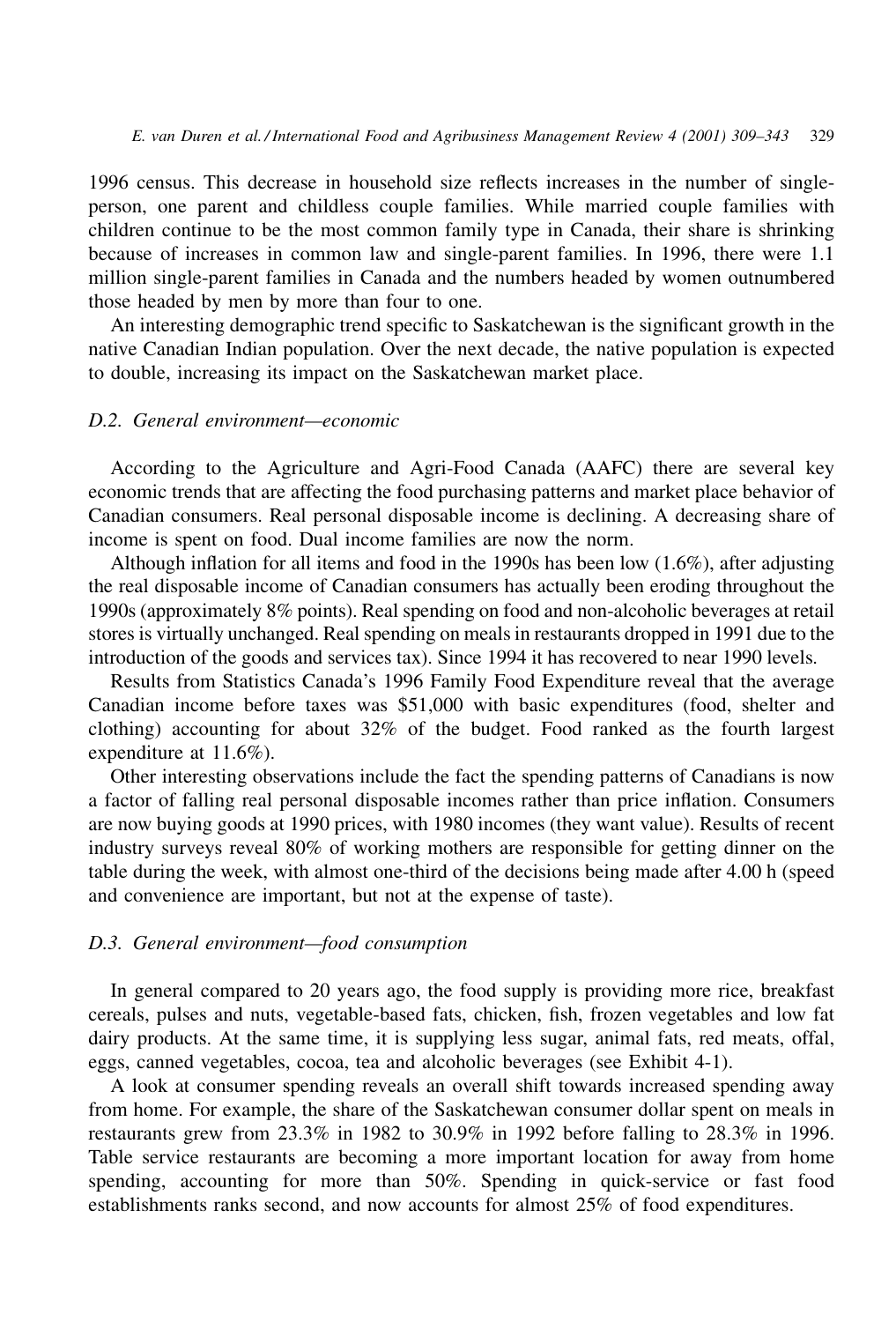1996 census. This decrease in household size reflects increases in the number of singleperson, one parent and childless couple families. While married couple families with children continue to be the most common family type in Canada, their share is shrinking because of increases in common law and single-parent families. In 1996, there were 1.1 million single-parent families in Canada and the numbers headed by women outnumbered those headed by men by more than four to one.

An interesting demographic trend specific to Saskatchewan is the significant growth in the native Canadian Indian population. Over the next decade, the native population is expected to double, increasing its impact on the Saskatchewan market place.

#### D.2. General environment—economic

According to the Agriculture and Agri-Food Canada (AAFC) there are several key economic trends that are affecting the food purchasing patterns and market place behavior of Canadian consumers. Real personal disposable income is declining. A decreasing share of income is spent on food. Dual income families are now the norm.

Although inflation for all items and food in the 1990s has been low  $(1.6\%)$ , after adjusting the real disposable income of Canadian consumers has actually been eroding throughout the 1990s (approximately 8% points). Real spending on food and non-alcoholic beverages at retail stores is virtually unchanged. Real spending on meals in restaurants dropped in 1991 due to the introduction of the goods and services tax). Since 1994 it has recovered to near 1990 levels.

Results from Statistics Canada's 1996 Family Food Expenditure reveal that the average Canadian income before taxes was \$51,000 with basic expenditures (food, shelter and clothing) accounting for about  $32\%$  of the budget. Food ranked as the fourth largest expenditure at  $11.6\%$ ).

Other interesting observations include the fact the spending patterns of Canadians is now a factor of falling real personal disposable incomes rather than price inflation. Consumers are now buying goods at 1990 prices, with 1980 incomes (they want value). Results of recent industry surveys reveal 80% of working mothers are responsible for getting dinner on the table during the week, with almost one-third of the decisions being made after 4.00 h (speed and convenience are important, but not at the expense of taste).

#### D.3. General environment-food consumption

In general compared to 20 years ago, the food supply is providing more rice, breakfast cereals, pulses and nuts, vegetable-based fats, chicken, fish, frozen vegetables and low fat dairy products. At the same time, it is supplying less sugar, animal fats, red meats, offal, eggs, canned vegetables, cocoa, tea and alcoholic beverages (see Exhibit 4-1).

A look at consumer spending reveals an overall shift towards increased spending away from home. For example, the share of the Saskatchewan consumer dollar spent on meals in restaurants grew from 23.3% in 1982 to 30.9% in 1992 before falling to 28.3% in 1996. Table service restaurants are becoming a more important location for away from home spending, accounting for more than 50%. Spending in quick-service or fast food establishments ranks second, and now accounts for almost 25% of food expenditures.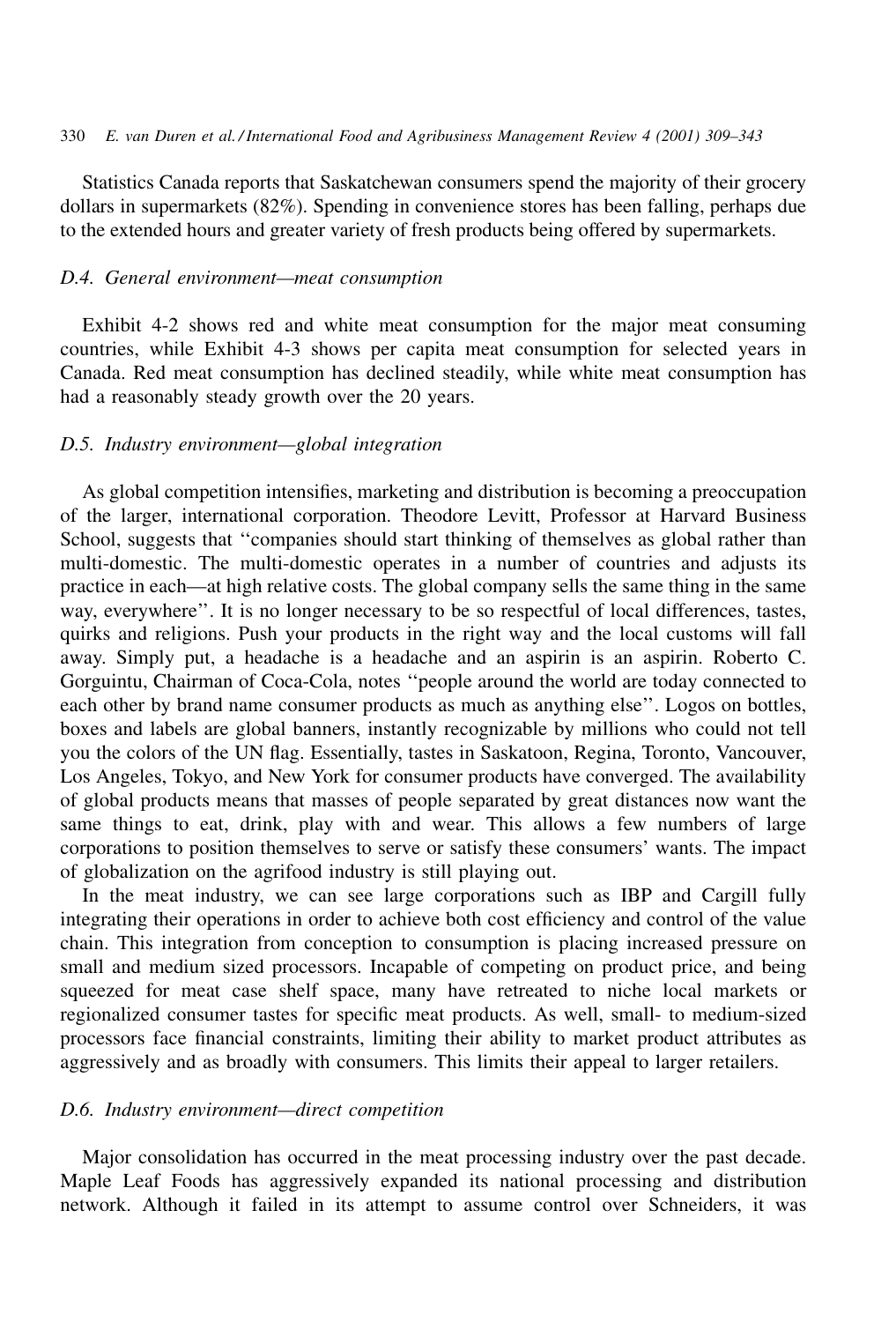Statistics Canada reports that Saskatchewan consumers spend the majority of their grocery dollars in supermarkets (82%). Spending in convenience stores has been falling, perhaps due to the extended hours and greater variety of fresh products being offered by supermarkets.

#### D.4. General environment-meat consumption

Exhibit 4-2 shows red and white meat consumption for the major meat consuming countries, while Exhibit 4-3 shows per capita meat consumption for selected years in Canada. Red meat consumption has declined steadily, while white meat consumption has had a reasonably steady growth over the 20 years.

## D.5. Industry environment—global integration

As global competition intensifies, marketing and distribution is becoming a preoccupation of the larger, international corporation. Theodore Levitt, Professor at Harvard Business School, suggests that "companies should start thinking of themselves as global rather than multi-domestic. The multi-domestic operates in a number of countries and adjusts its practice in each—at high relative costs. The global company sells the same thing in the same way, everywhere". It is no longer necessary to be so respectful of local differences, tastes, quirks and religions. Push your products in the right way and the local customs will fall away. Simply put, a headache is a headache and an aspirin is an aspirin. Roberto C. Gorguintu, Chairman of Coca-Cola, notes "people around the world are today connected to each other by brand name consumer products as much as anything else". Logos on bottles, boxes and labels are global banners, instantly recognizable by millions who could not tell you the colors of the UN flag. Essentially, tastes in Saskatoon, Regina, Toronto, Vancouver, Los Angeles, Tokyo, and New York for consumer products have converged. The availability of global products means that masses of people separated by great distances now want the same things to eat, drink, play with and wear. This allows a few numbers of large corporations to position themselves to serve or satisfy these consumers' wants. The impact of globalization on the agrifood industry is still playing out.

In the meat industry, we can see large corporations such as IBP and Cargill fully integrating their operations in order to achieve both cost efficiency and control of the value chain. This integration from conception to consumption is placing increased pressure on small and medium sized processors. Incapable of competing on product price, and being squeezed for meat case shelf space, many have retreated to niche local markets or regionalized consumer tastes for specific meat products. As well, small- to medium-sized processors face financial constraints, limiting their ability to market product attributes as aggressively and as broadly with consumers. This limits their appeal to larger retailers.

#### D.6. Industry environment—direct competition

Major consolidation has occurred in the meat processing industry over the past decade. Maple Leaf Foods has aggressively expanded its national processing and distribution network. Although it failed in its attempt to assume control over Schneiders, it was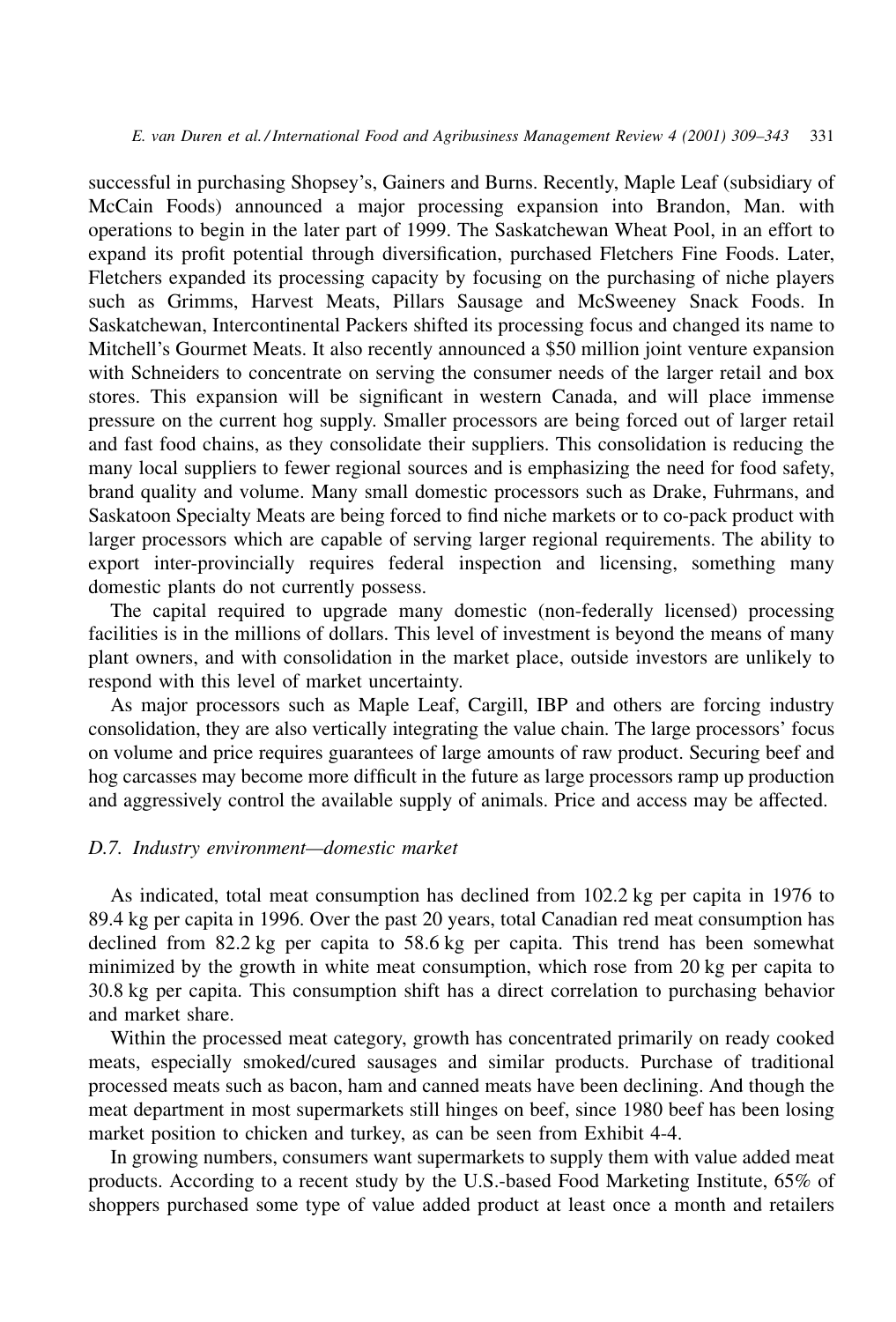successful in purchasing Shopsey's, Gainers and Burns. Recently, Maple Leaf (subsidiary of McCain Foods) announced a major processing expansion into Brandon, Man. with operations to begin in the later part of 1999. The Saskatchewan Wheat Pool, in an effort to expand its profit potential through diversification, purchased Fletchers Fine Foods. Later, Fletchers expanded its processing capacity by focusing on the purchasing of niche players such as Grimms, Harvest Meats, Pillars Sausage and McSweeney Snack Foods. In Saskatchewan, Intercontinental Packers shifted its processing focus and changed its name to Mitchell's Gourmet Meats. It also recently announced a \$50 million joint venture expansion with Schneiders to concentrate on serving the consumer needs of the larger retail and box stores. This expansion will be significant in western Canada, and will place immense pressure on the current hog supply. Smaller processors are being forced out of larger retail and fast food chains, as they consolidate their suppliers. This consolidation is reducing the many local suppliers to fewer regional sources and is emphasizing the need for food safety, brand quality and volume. Many small domestic processors such as Drake, Fuhrmans, and Saskatoon Specialty Meats are being forced to find niche markets or to co-pack product with larger processors which are capable of serving larger regional requirements. The ability to export inter-provincially requires federal inspection and licensing, something many domestic plants do not currently possess.

The capital required to upgrade many domestic (non-federally licensed) processing facilities is in the millions of dollars. This level of investment is beyond the means of many plant owners, and with consolidation in the market place, outside investors are unlikely to respond with this level of market uncertainty.

As major processors such as Maple Leaf, Cargill, IBP and others are forcing industry consolidation, they are also vertically integrating the value chain. The large processors' focus on volume and price requires guarantees of large amounts of raw product. Securing beef and hog carcasses may become more difficult in the future as large processors ramp up production and aggressively control the available supply of animals. Price and access may be affected.

### D.7. Industry environment—domestic market

As indicated, total meat consumption has declined from 102.2 kg per capita in 1976 to 89.4 kg per capita in 1996. Over the past 20 years, total Canadian red meat consumption has declined from 82.2 kg per capita to 58.6 kg per capita. This trend has been somewhat minimized by the growth in white meat consumption, which rose from 20 kg per capita to 30.8 kg per capita. This consumption shift has a direct correlation to purchasing behavior and market share.

Within the processed meat category, growth has concentrated primarily on ready cooked meats, especially smoked/cured sausages and similar products. Purchase of traditional processed meats such as bacon, ham and canned meats have been declining. And though the meat department in most supermarkets still hinges on beef, since 1980 beef has been losing market position to chicken and turkey, as can be seen from Exhibit 4-4.

In growing numbers, consumers want supermarkets to supply them with value added meat products. According to a recent study by the U.S.-based Food Marketing Institute, 65% of shoppers purchased some type of value added product at least once a month and retailers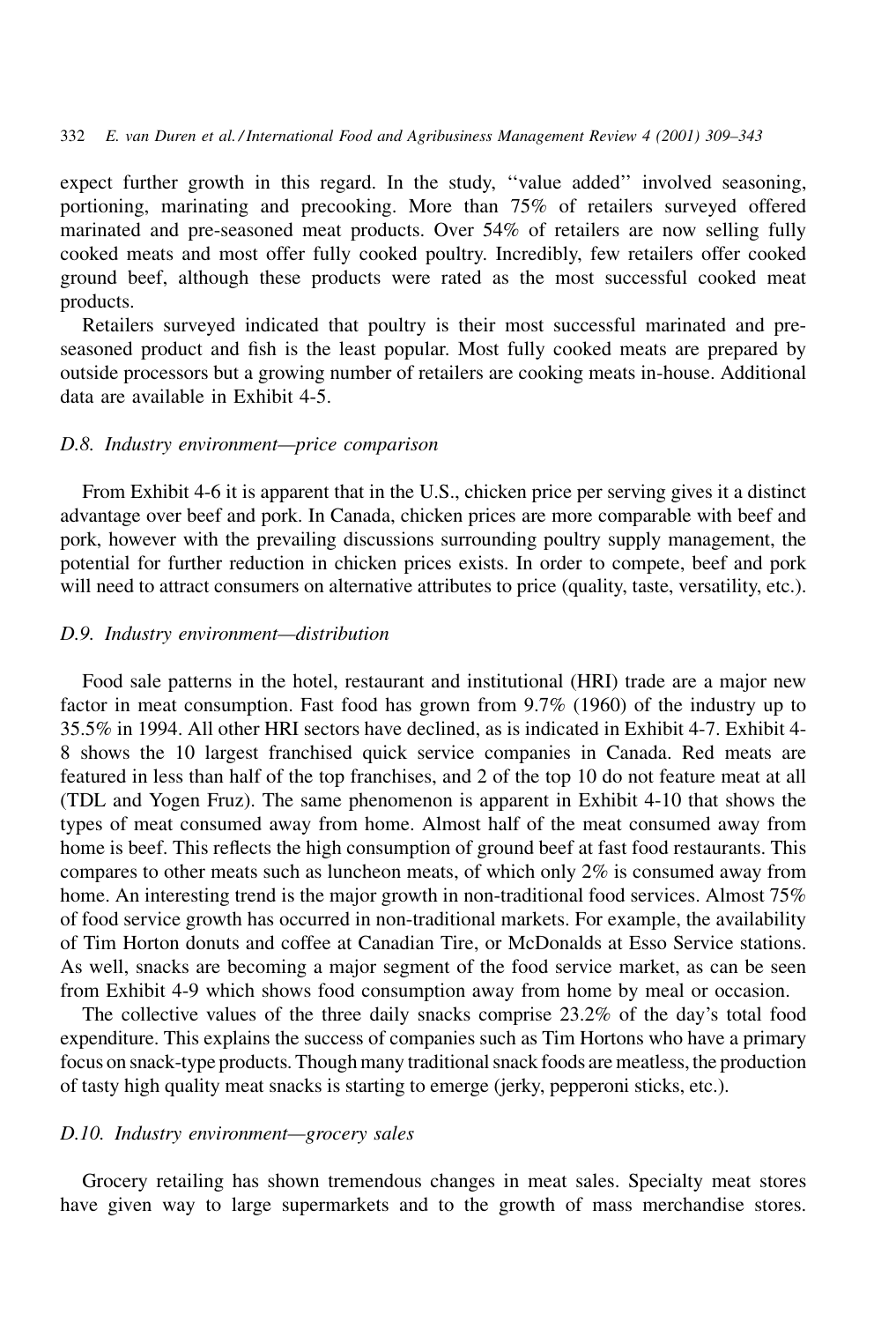expect further growth in this regard. In the study, "value added" involved seasoning, portioning, marinating and precooking. More than 75% of retailers surveyed offered marinated and pre-seasoned meat products. Over 54% of retailers are now selling fully cooked meats and most offer fully cooked poultry. Incredibly, few retailers offer cooked ground beef, although these products were rated as the most successful cooked meat products.

Retailers surveyed indicated that poultry is their most successful marinated and preseasoned product and fish is the least popular. Most fully cooked meats are prepared by outside processors but a growing number of retailers are cooking meats in-house. Additional data are available in Exhibit 4-5.

#### D.8. Industry environment—price comparison

From Exhibit 4-6 it is apparent that in the U.S., chicken price per serving gives it a distinct advantage over beef and pork. In Canada, chicken prices are more comparable with beef and pork, however with the prevailing discussions surrounding poultry supply management, the potential for further reduction in chicken prices exists. In order to compete, beef and pork will need to attract consumers on alternative attributes to price (quality, taste, versatility, etc.).

#### D.9. Industry environment-distribution

Food sale patterns in the hotel, restaurant and institutional (HRI) trade are a major new factor in meat consumption. Fast food has grown from  $9.7\%$  (1960) of the industry up to 35.5% in 1994. All other HRI sectors have declined, as is indicated in Exhibit 4-7. Exhibit 4-8 shows the 10 largest franchised quick service companies in Canada. Red meats are featured in less than half of the top franchises, and 2 of the top 10 do not feature meat at all (TDL and Yogen Fruz). The same phenomenon is apparent in Exhibit 4-10 that shows the types of meat consumed away from home. Almost half of the meat consumed away from home is beef. This reflects the high consumption of ground beef at fast food restaurants. This compares to other meats such as luncheon meats, of which only 2% is consumed away from home. An interesting trend is the major growth in non-traditional food services. Almost 75% of food service growth has occurred in non-traditional markets. For example, the availability of Tim Horton donuts and coffee at Canadian Tire, or McDonalds at Esso Service stations. As well, snacks are becoming a major segment of the food service market, as can be seen from Exhibit 4-9 which shows food consumption away from home by meal or occasion.

The collective values of the three daily snacks comprise 23.2% of the day's total food expenditure. This explains the success of companies such as Tim Hortons who have a primary focus on snack-type products. Though many traditional snack foods are meatless, the production of tasty high quality meat snacks is starting to emerge (jerky, pepperoni sticks, etc.).

## D.10. Industry environment-grocery sales

Grocery retailing has shown tremendous changes in meat sales. Specialty meat stores have given way to large supermarkets and to the growth of mass merchandise stores.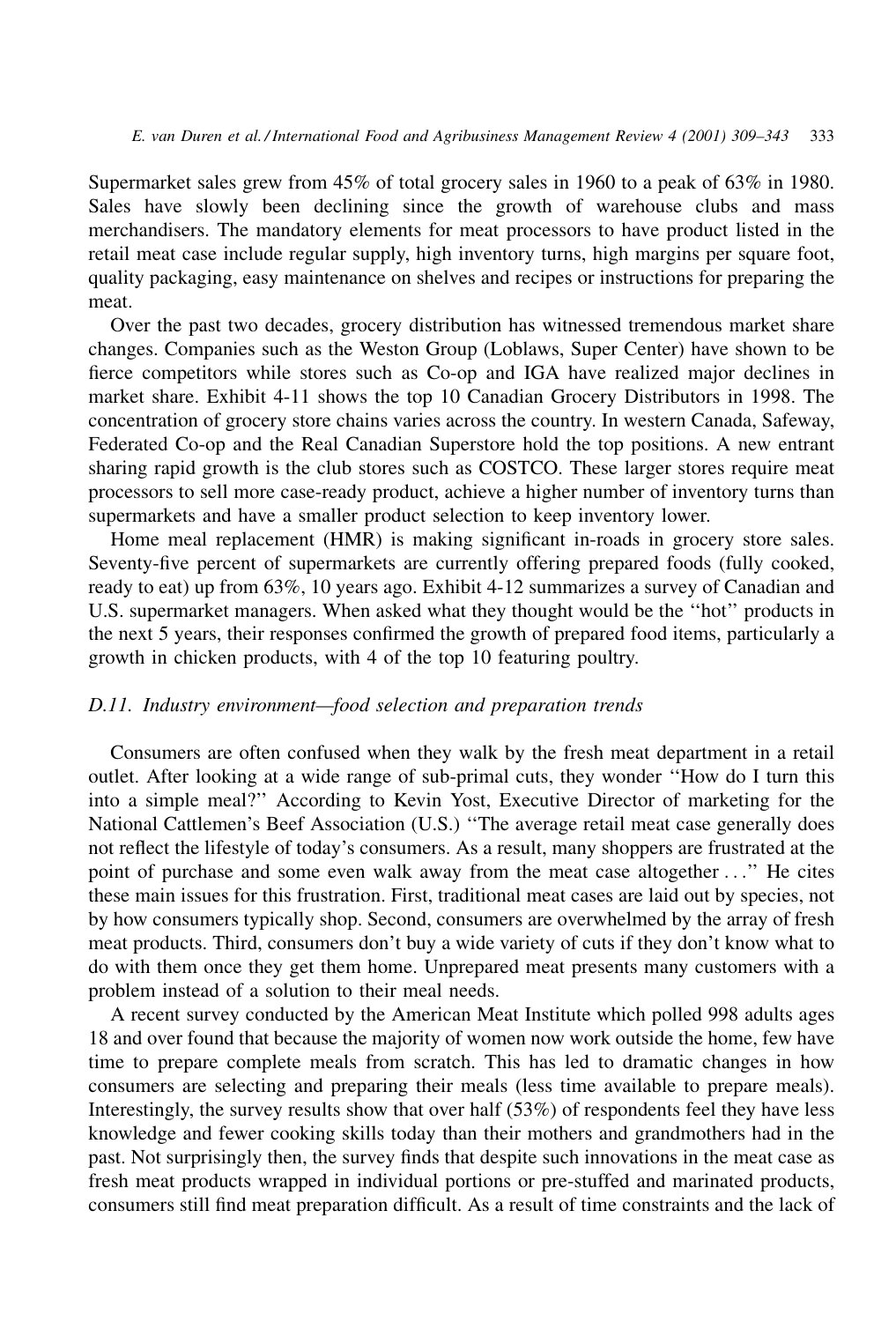Supermarket sales grew from 45% of total grocery sales in 1960 to a peak of 63% in 1980. Sales have slowly been declining since the growth of warehouse clubs and mass merchandisers. The mandatory elements for meat processors to have product listed in the retail meat case include regular supply, high inventory turns, high margins per square foot, quality packaging, easy maintenance on shelves and recipes or instructions for preparing the meat.

Over the past two decades, grocery distribution has witnessed tremendous market share changes. Companies such as the Weston Group (Loblaws, Super Center) have shown to be fierce competitors while stores such as Co-op and IGA have realized major declines in market share. Exhibit 4-11 shows the top 10 Canadian Grocery Distributors in 1998. The concentration of grocery store chains varies across the country. In western Canada, Safeway, Federated Co-op and the Real Canadian Superstore hold the top positions. A new entrant sharing rapid growth is the club stores such as COSTCO. These larger stores require meat processors to sell more case-ready product, achieve a higher number of inventory turns than supermarkets and have a smaller product selection to keep inventory lower.

Home meal replacement (HMR) is making significant in-roads in grocery store sales. Seventy-five percent of supermarkets are currently offering prepared foods (fully cooked, ready to eat) up from 63%, 10 years ago. Exhibit 4-12 summarizes a survey of Canadian and U.S. supermarket managers. When asked what they thought would be the "hot" products in the next 5 years, their responses confirmed the growth of prepared food items, particularly a growth in chicken products, with 4 of the top 10 featuring poultry.

#### D.11. Industry environment—food selection and preparation trends

Consumers are often confused when they walk by the fresh meat department in a retail outlet. After looking at a wide range of sub-primal cuts, they wonder "How do I turn this into a simple meal?" According to Kevin Yost, Executive Director of marketing for the National Cattlemen's Beef Association (U.S.) "The average retail meat case generally does not reflect the lifestyle of today's consumers. As a result, many shoppers are frustrated at the point of purchase and some even walk away from the meat case altogether ..." He cites these main issues for this frustration. First, traditional meat cases are laid out by species, not by how consumers typically shop. Second, consumers are overwhelmed by the array of fresh meat products. Third, consumers don't buy a wide variety of cuts if they don't know what to do with them once they get them home. Unprepared meat presents many customers with a problem instead of a solution to their meal needs.

A recent survey conducted by the American Meat Institute which polled 998 adults ages 18 and over found that because the majority of women now work outside the home, few have time to prepare complete meals from scratch. This has led to dramatic changes in how consumers are selecting and preparing their meals (less time available to prepare meals). Interestingly, the survey results show that over half  $(53%)$  of respondents feel they have less knowledge and fewer cooking skills today than their mothers and grandmothers had in the past. Not surprisingly then, the survey finds that despite such innovations in the meat case as fresh meat products wrapped in individual portions or pre-stuffed and marinated products, consumers still find meat preparation difficult. As a result of time constraints and the lack of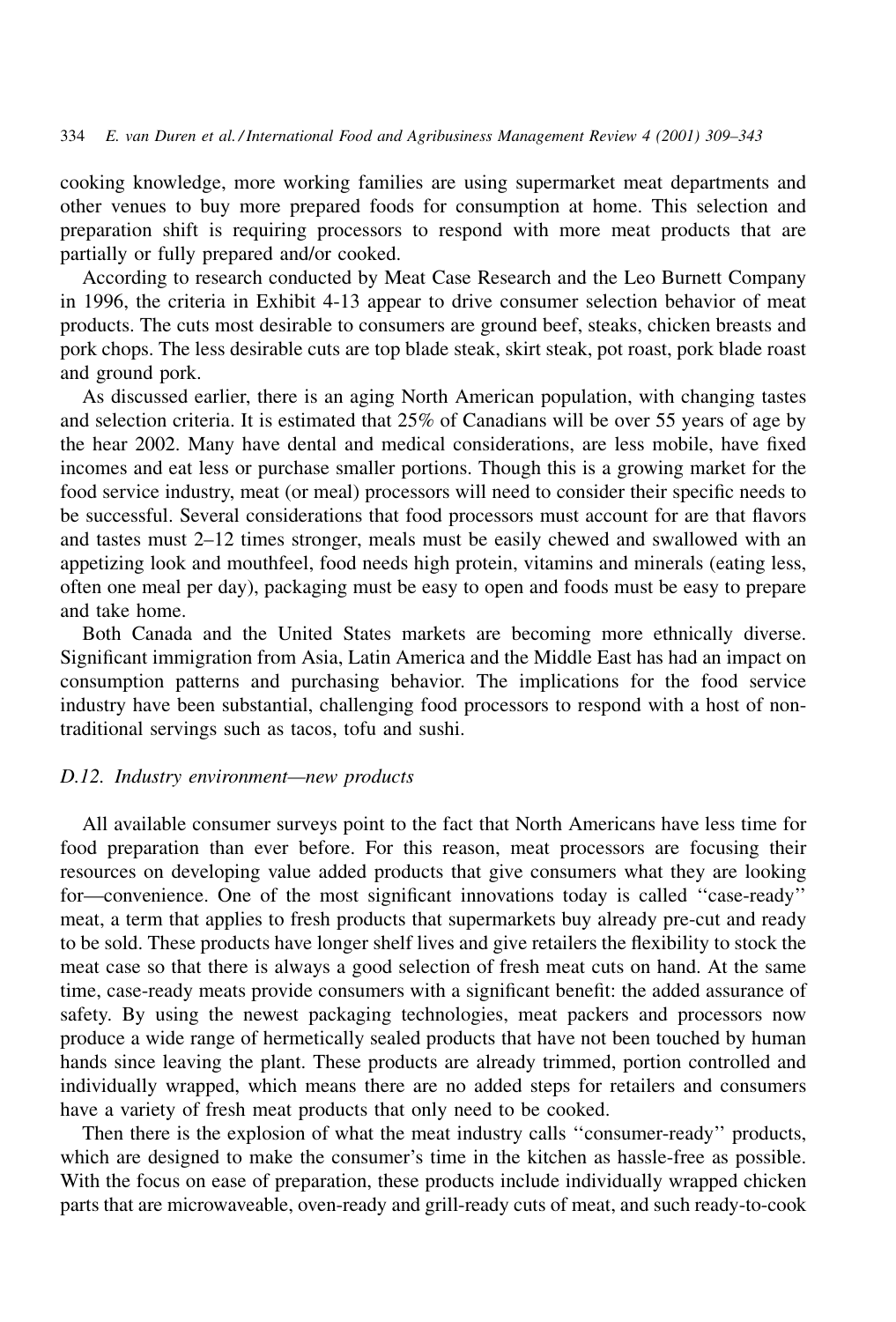cooking knowledge, more working families are using supermarket meat departments and other venues to buy more prepared foods for consumption at home. This selection and preparation shift is requiring processors to respond with more meat products that are partially or fully prepared and/or cooked.

According to research conducted by Meat Case Research and the Leo Burnett Company in 1996, the criteria in Exhibit 4-13 appear to drive consumer selection behavior of meat products. The cuts most desirable to consumers are ground beef, steaks, chicken breasts and pork chops. The less desirable cuts are top blade steak, skirt steak, pot roast, pork blade roast and ground pork.

As discussed earlier, there is an aging North American population, with changing tastes and selection criteria. It is estimated that 25% of Canadians will be over 55 years of age by the hear 2002. Many have dental and medical considerations, are less mobile, have fixed incomes and eat less or purchase smaller portions. Though this is a growing market for the food service industry, meat (or meal) processors will need to consider their specific needs to be successful. Several considerations that food processors must account for are that flavors and tastes must 2–12 times stronger, meals must be easily chewed and swallowed with an appetizing look and mouthfeel, food needs high protein, vitamins and minerals (eating less, often one meal per day), packaging must be easy to open and foods must be easy to prepare and take home.

Both Canada and the United States markets are becoming more ethnically diverse. Significant immigration from Asia, Latin America and the Middle East has had an impact on consumption patterns and purchasing behavior. The implications for the food service industry have been substantial, challenging food processors to respond with a host of nontraditional servings such as tacos, tofu and sushi.

#### D.12. Industry environment-new products

All available consumer surveys point to the fact that North Americans have less time for food preparation than ever before. For this reason, meat processors are focusing their resources on developing value added products that give consumers what they are looking for—convenience. One of the most significant innovations today is called "case-ready" meat, a term that applies to fresh products that supermarkets buy already pre-cut and ready to be sold. These products have longer shelf lives and give retailers the flexibility to stock the meat case so that there is always a good selection of fresh meat cuts on hand. At the same time, case-ready meats provide consumers with a significant benefit: the added assurance of safety. By using the newest packaging technologies, meat packers and processors now produce a wide range of hermetically sealed products that have not been touched by human hands since leaving the plant. These products are already trimmed, portion controlled and individually wrapped, which means there are no added steps for retailers and consumers have a variety of fresh meat products that only need to be cooked.

Then there is the explosion of what the meat industry calls "consumer-ready" products, which are designed to make the consumer's time in the kitchen as hassle-free as possible. With the focus on ease of preparation, these products include individually wrapped chicken parts that are microwaveable, oven-ready and grill-ready cuts of meat, and such ready-to-cook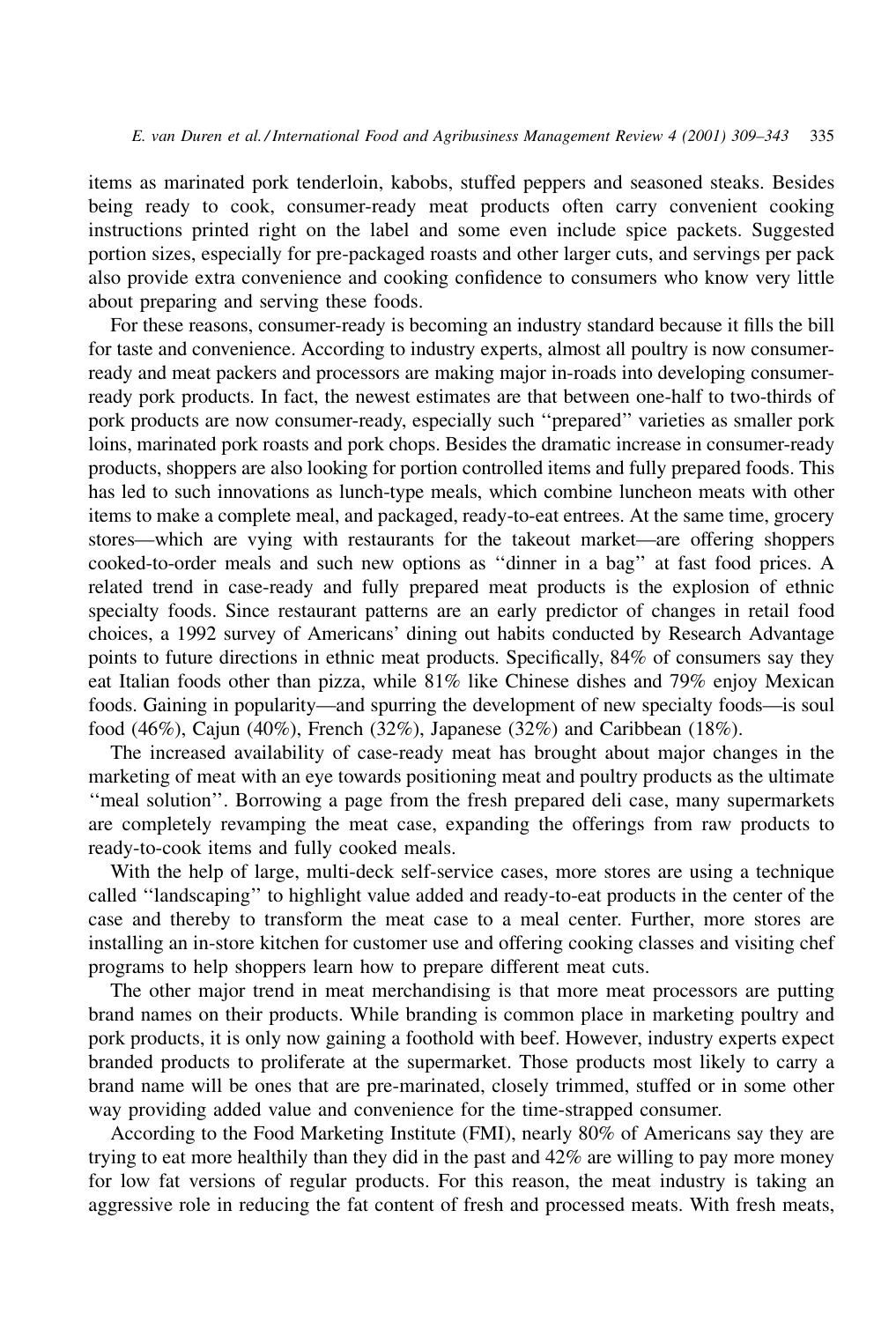items as marinated pork tenderloin, kabobs, stuffed peppers and seasoned steaks. Besides being ready to cook, consumer-ready meat products often carry convenient cooking instructions printed right on the label and some even include spice packets. Suggested portion sizes, especially for pre-packaged roasts and other larger cuts, and servings per pack also provide extra convenience and cooking confidence to consumers who know very little about preparing and serving these foods.

For these reasons, consumer-ready is becoming an industry standard because it fills the bill for taste and convenience. According to industry experts, almost all poultry is now consumerready and meat packers and processors are making major in-roads into developing consumerready pork products. In fact, the newest estimates are that between one-half to two-thirds of pork products are now consumer-ready, especially such "prepared" varieties as smaller pork loins, marinated pork roasts and pork chops. Besides the dramatic increase in consumer-ready products, shoppers are also looking for portion controlled items and fully prepared foods. This has led to such innovations as lunch-type meals, which combine luncheon meats with other items to make a complete meal, and packaged, ready-to-eat entrees. At the same time, grocery stores—which are vying with restaurants for the takeout market—are offering shoppers cooked-to-order meals and such new options as "dinner in a bag" at fast food prices. A related trend in case-ready and fully prepared meat products is the explosion of ethnic specialty foods. Since restaurant patterns are an early predictor of changes in retail food choices, a 1992 survey of Americans' dining out habits conducted by Research Advantage points to future directions in ethnic meat products. Specifically, 84% of consumers say they eat Italian foods other than pizza, while 81% like Chinese dishes and 79% enjoy Mexican foods. Gaining in popularity—and spurring the development of new specialty foods—is soul food (46%), Cajun (40%), French (32%), Japanese (32%) and Caribbean (18%).

The increased availability of case-ready meat has brought about major changes in the marketing of meat with an eye towards positioning meat and poultry products as the ultimate "meal solution". Borrowing a page from the fresh prepared deli case, many supermarkets are completely revamping the meat case, expanding the offerings from raw products to ready-to-cook items and fully cooked meals.

With the help of large, multi-deck self-service cases, more stores are using a technique called "landscaping" to highlight value added and ready-to-eat products in the center of the case and thereby to transform the meat case to a meal center. Further, more stores are installing an in-store kitchen for customer use and offering cooking classes and visiting chef programs to help shoppers learn how to prepare different meat cuts.

The other major trend in meat merchandising is that more meat processors are putting brand names on their products. While branding is common place in marketing poultry and pork products, it is only now gaining a foothold with beef. However, industry experts expect branded products to proliferate at the supermarket. Those products most likely to carry a brand name will be ones that are pre-marinated, closely trimmed, stuffed or in some other way providing added value and convenience for the time-strapped consumer.

According to the Food Marketing Institute (FMI), nearly 80% of Americans say they are trying to eat more healthily than they did in the past and 42% are willing to pay more money for low fat versions of regular products. For this reason, the meat industry is taking an aggressive role in reducing the fat content of fresh and processed meats. With fresh meats,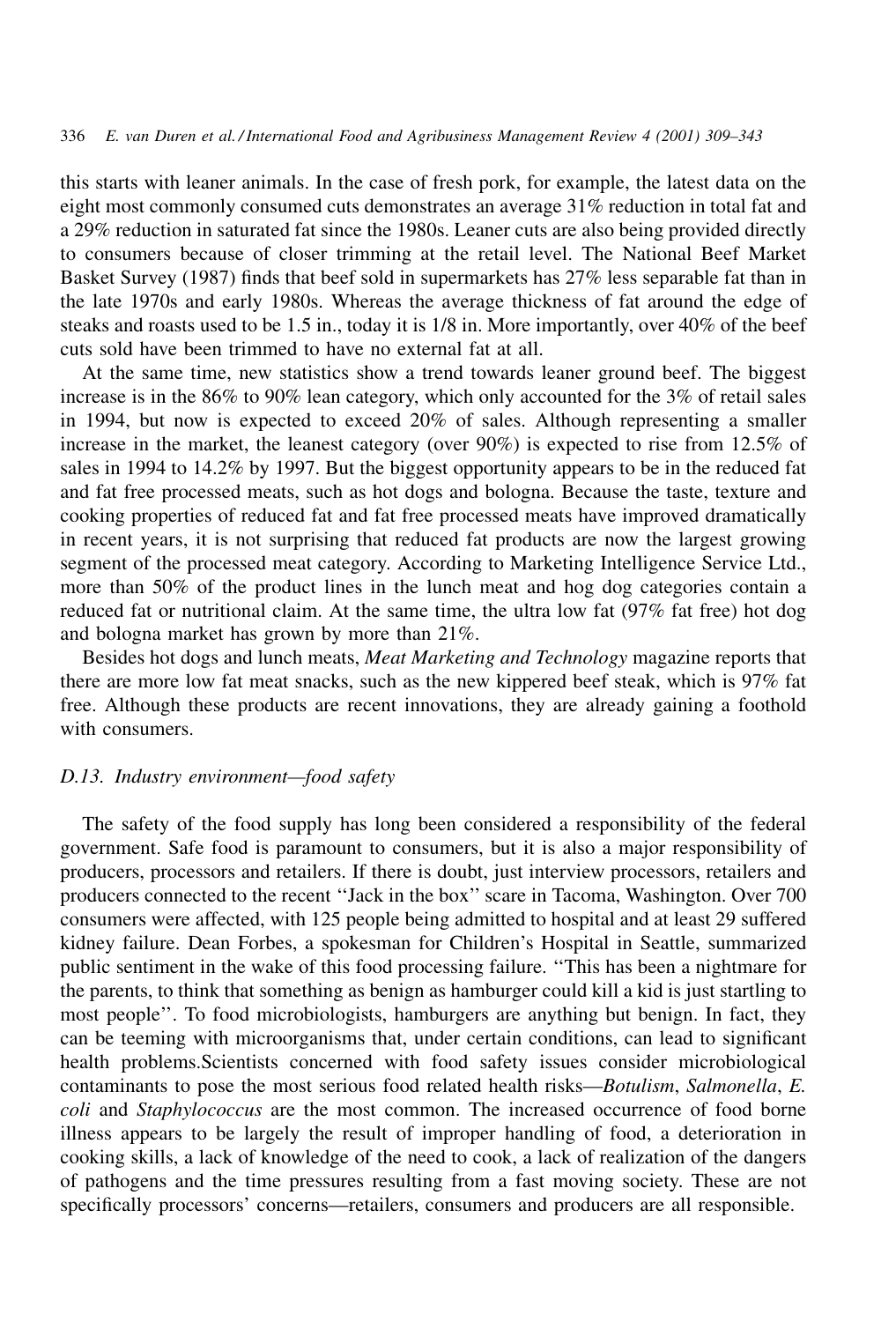this starts with leaner animals. In the case of fresh pork, for example, the latest data on the eight most commonly consumed cuts demonstrates an average 31% reduction in total fat and a 29% reduction in saturated fat since the 1980s. Leaner cuts are also being provided directly to consumers because of closer trimming at the retail level. The National Beef Market Basket Survey (1987) finds that beef sold in supermarkets has 27% less separable fat than in the late 1970s and early 1980s. Whereas the average thickness of fat around the edge of steaks and roasts used to be 1.5 in., today it is 1/8 in. More importantly, over 40% of the beef cuts sold have been trimmed to have no external fat at all.

At the same time, new statistics show a trend towards leaner ground beef. The biggest increase is in the 86% to 90% lean category, which only accounted for the 3% of retail sales in 1994, but now is expected to exceed  $20\%$  of sales. Although representing a smaller increase in the market, the leanest category (over  $90\%$ ) is expected to rise from 12.5% of sales in 1994 to 14.2% by 1997. But the biggest opportunity appears to be in the reduced fat and fat free processed meats, such as hot dogs and bologna. Because the taste, texture and cooking properties of reduced fat and fat free processed meats have improved dramatically in recent years, it is not surprising that reduced fat products are now the largest growing segment of the processed meat category. According to Marketing Intelligence Service Ltd., more than 50% of the product lines in the lunch meat and hog dog categories contain a reduced fat or nutritional claim. At the same time, the ultra low fat  $(97\%$  fat free) hot dog and bologna market has grown by more than 21%.

Besides hot dogs and lunch meats, *Meat Marketing and Technology* magazine reports that there are more low fat meat snacks, such as the new kippered beef steak, which is 97% fat free. Although these products are recent innovations, they are already gaining a foothold with consumers.

#### D.13. Industry environment-food safety

The safety of the food supply has long been considered a responsibility of the federal government. Safe food is paramount to consumers, but it is also a major responsibility of producers, processors and retailers. If there is doubt, just interview processors, retailers and producers connected to the recent "Jack in the box" scare in Tacoma, Washington. Over 700 consumers were affected, with 125 people being admitted to hospital and at least 29 suffered kidney failure. Dean Forbes, a spokesman for Children's Hospital in Seattle, summarized public sentiment in the wake of this food processing failure. "This has been a nightmare for the parents, to think that something as benign as hamburger could kill a kid is just startling to most people". To food microbiologists, hamburgers are anything but benign. In fact, they can be teeming with microorganisms that, under certain conditions, can lead to significant health problems. Scientists concerned with food safety issues consider microbiological contaminants to pose the most serious food related health risks—Botulism, Salmonella, E. coli and Staphylococcus are the most common. The increased occurrence of food borne illness appears to be largely the result of improper handling of food, a deterioration in cooking skills, a lack of knowledge of the need to cook, a lack of realization of the dangers of pathogens and the time pressures resulting from a fast moving society. These are not specifically processors' concerns—retailers, consumers and producers are all responsible.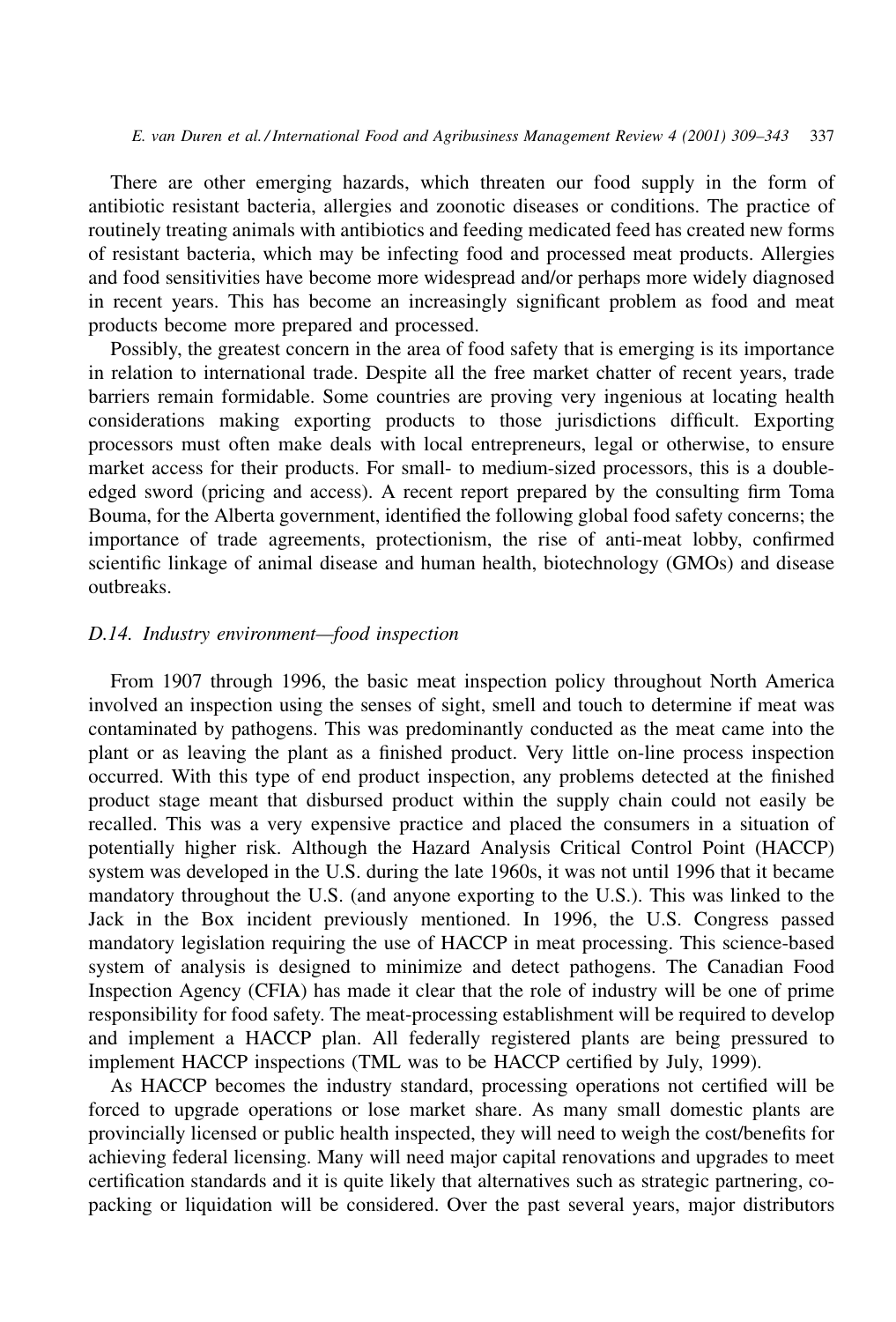There are other emerging hazards, which threaten our food supply in the form of antibiotic resistant bacteria, allergies and zoonotic diseases or conditions. The practice of routinely treating animals with antibiotics and feeding medicated feed has created new forms of resistant bacteria, which may be infecting food and processed meat products. Allergies and food sensitivities have become more widespread and/or perhaps more widely diagnosed in recent years. This has become an increasingly significant problem as food and meat products become more prepared and processed.

Possibly, the greatest concern in the area of food safety that is emerging is its importance in relation to international trade. Despite all the free market chatter of recent years, trade barriers remain formidable. Some countries are proving very ingenious at locating health considerations making exporting products to those jurisdictions difficult. Exporting processors must often make deals with local entrepreneurs, legal or otherwise, to ensure market access for their products. For small- to medium-sized processors, this is a doubleedged sword (pricing and access). A recent report prepared by the consulting firm Toma Bouma, for the Alberta government, identified the following global food safety concerns; the importance of trade agreements, protectionism, the rise of anti-meat lobby, confirmed scientific linkage of animal disease and human health, biotechnology (GMOs) and disease outbreaks.

#### D.14. Industry environment-food inspection

From 1907 through 1996, the basic meat inspection policy throughout North America involved an inspection using the senses of sight, smell and touch to determine if meat was contaminated by pathogens. This was predominantly conducted as the meat came into the plant or as leaving the plant as a finished product. Very little on-line process inspection occurred. With this type of end product inspection, any problems detected at the finished product stage meant that disbursed product within the supply chain could not easily be recalled. This was a very expensive practice and placed the consumers in a situation of potentially higher risk. Although the Hazard Analysis Critical Control Point (HACCP) system was developed in the U.S. during the late 1960s, it was not until 1996 that it became mandatory throughout the U.S. (and anyone exporting to the U.S.). This was linked to the Jack in the Box incident previously mentioned. In 1996, the U.S. Congress passed mandatory legislation requiring the use of HACCP in meat processing. This science-based system of analysis is designed to minimize and detect pathogens. The Canadian Food Inspection Agency (CFIA) has made it clear that the role of industry will be one of prime responsibility for food safety. The meat-processing establishment will be required to develop and implement a HACCP plan. All federally registered plants are being pressured to implement HACCP inspections (TML was to be HACCP certified by July, 1999).

As HACCP becomes the industry standard, processing operations not certified will be forced to upgrade operations or lose market share. As many small domestic plants are provincially licensed or public health inspected, they will need to weigh the cost/benefits for achieving federal licensing. Many will need major capital renovations and upgrades to meet certification standards and it is quite likely that alternatives such as strategic partnering, copacking or liquidation will be considered. Over the past several years, major distributors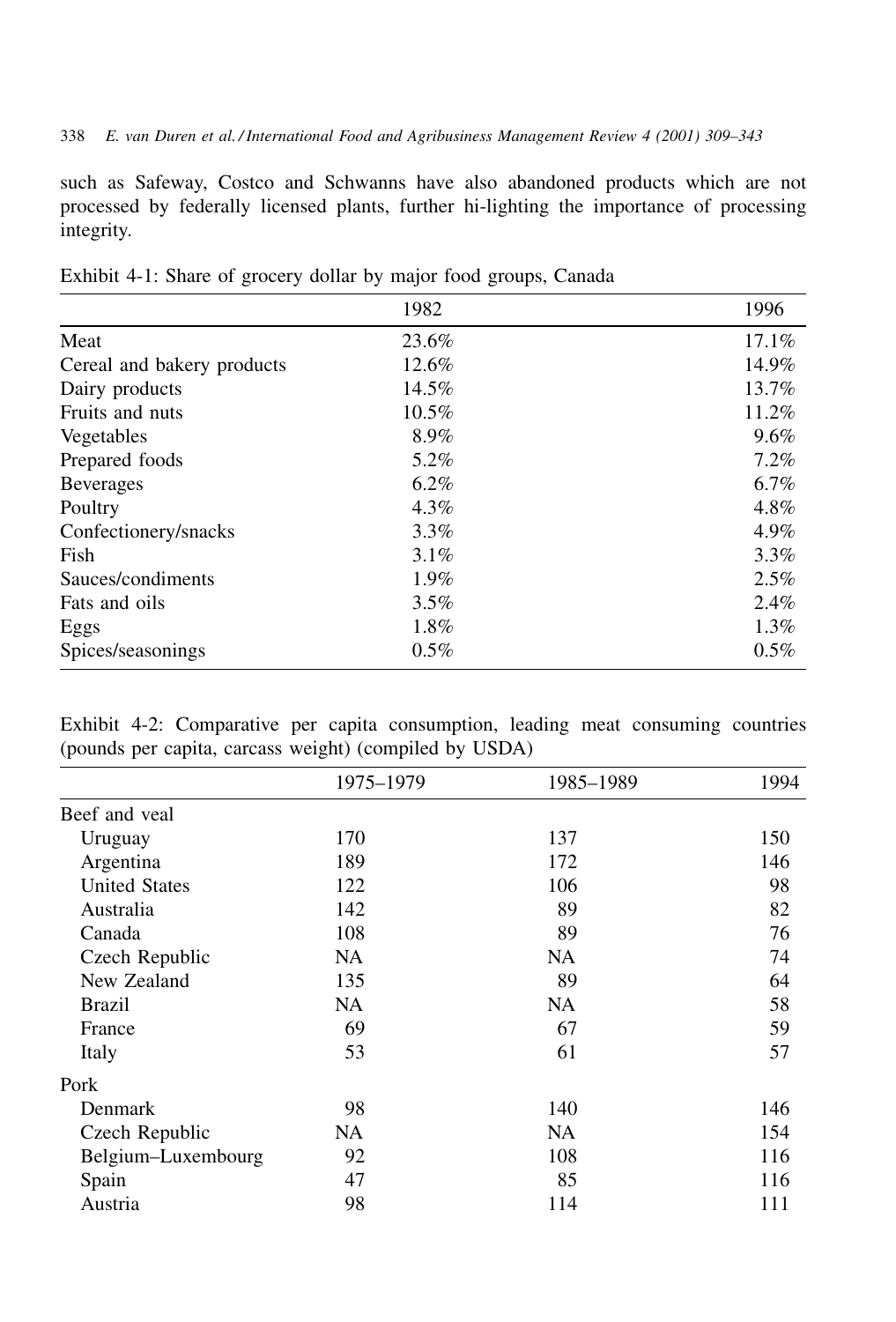such as Safeway, Costco and Schwanns have also abandoned products which are not processed by federally licensed plants, further hi-lighting the importance of processing integrity.

|                            | 1982    | 1996    |
|----------------------------|---------|---------|
| Meat                       | 23.6%   | 17.1%   |
| Cereal and bakery products | 12.6%   | 14.9%   |
| Dairy products             | 14.5%   | 13.7%   |
| Fruits and nuts            | 10.5%   | 11.2%   |
| Vegetables                 | 8.9%    | $9.6\%$ |
| Prepared foods             | 5.2%    | 7.2%    |
| <b>Beverages</b>           | 6.2%    | 6.7%    |
| Poultry                    | 4.3%    | 4.8%    |
| Confectionery/snacks       | $3.3\%$ | 4.9%    |
| Fish                       | $3.1\%$ | $3.3\%$ |
| Sauces/condiments          | 1.9%    | 2.5%    |
| Fats and oils              | 3.5%    | 2.4%    |
| Eggs                       | 1.8%    | 1.3%    |
| Spices/seasonings          | $0.5\%$ | $0.5\%$ |

Exhibit 4-1: Share of grocery dollar by major food groups, Canada

|  |  | Exhibit 4-2: Comparative per capita consumption, leading meat consuming countries |  |  |
|--|--|-----------------------------------------------------------------------------------|--|--|
|  |  | (pounds per capita, carcass weight) (compiled by USDA)                            |  |  |

|                      | 1975-1979 | 1985-1989 | 1994 |
|----------------------|-----------|-----------|------|
| Beef and yeal        |           |           |      |
| Uruguay              | 170       | 137       | 150  |
| Argentina            | 189       | 172       | 146  |
| <b>United States</b> | 122       | 106       | 98   |
| Australia            | 142       | 89        | 82   |
| Canada               | 108       | 89        | 76   |
| Czech Republic       | NA        | NA        | 74   |
| New Zealand          | 135       | 89        | 64   |
| Brazil               | <b>NA</b> | <b>NA</b> | 58   |
| France               | 69        | 67        | 59   |
| Italy                | 53        | 61        | 57   |
| Pork                 |           |           |      |
| Denmark              | 98        | 140       | 146  |
| Czech Republic       | NA        | <b>NA</b> | 154  |
| Belgium-Luxembourg   | 92        | 108       | 116  |
| Spain                | 47        | 85        | 116  |
| Austria              | 98        | 114       | 111  |
|                      |           |           |      |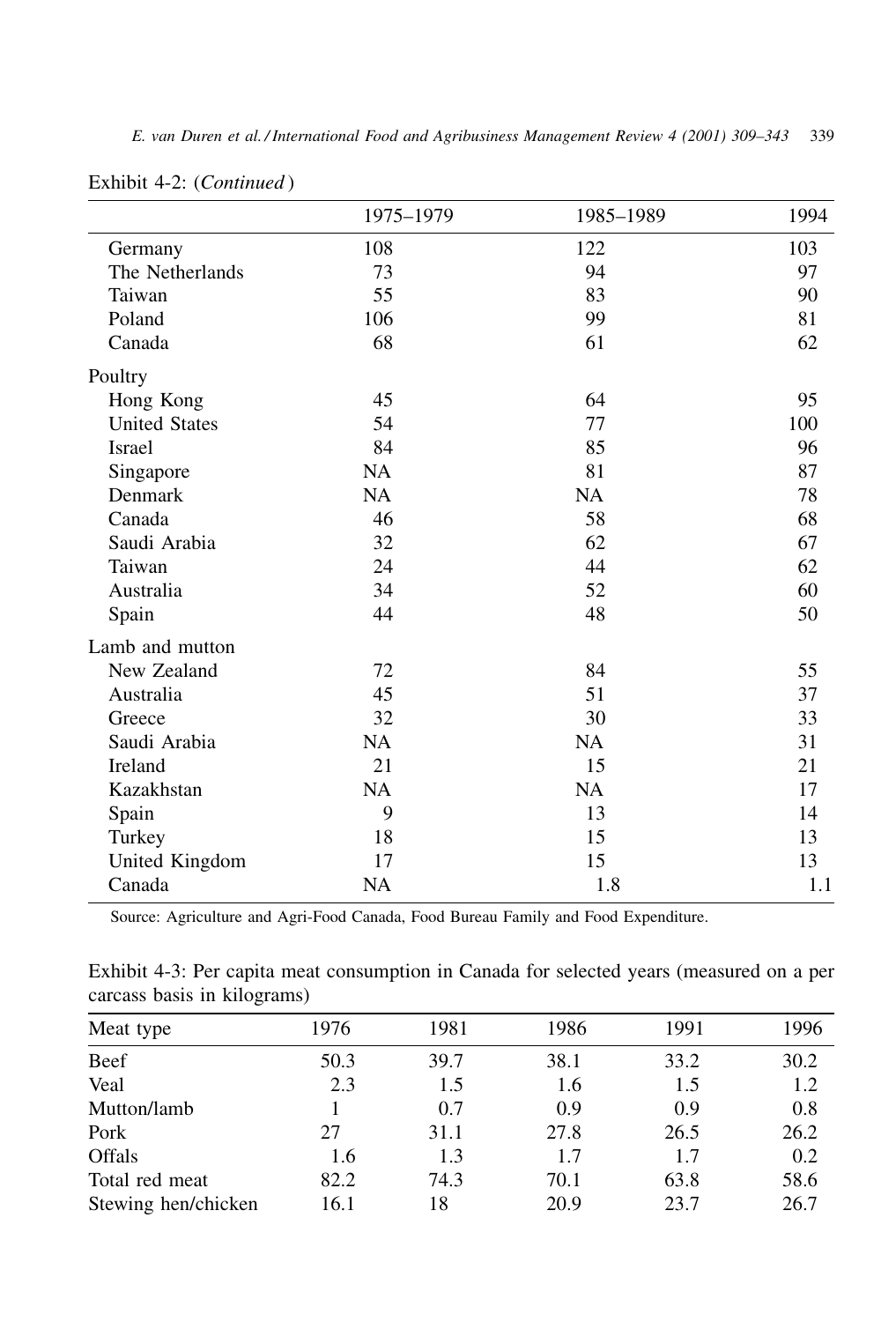|  |  |  |  |  |  | E. van Duren et al./International Food and Agribusiness Management Review 4 (2001) 309-343 339 |  |  |
|--|--|--|--|--|--|------------------------------------------------------------------------------------------------|--|--|
|--|--|--|--|--|--|------------------------------------------------------------------------------------------------|--|--|

|                      | 1975-1979 | 1985-1989 | 1994 |
|----------------------|-----------|-----------|------|
| Germany              | 108       | 122       | 103  |
| The Netherlands      | 73        | 94        | 97   |
| Taiwan               | 55        | 83        | 90   |
| Poland               | 106       | 99        | 81   |
| Canada               | 68        | 61        | 62   |
| Poultry              |           |           |      |
| Hong Kong            | 45        | 64        | 95   |
| <b>United States</b> | 54        | 77        | 100  |
| Israel               | 84        | 85        | 96   |
| Singapore            | <b>NA</b> | 81        | 87   |
| Denmark              | NA        | NA        | 78   |
| Canada               | 46        | 58        | 68   |
| Saudi Arabia         | 32        | 62        | 67   |
| Taiwan               | 24        | 44        | 62   |
| Australia            | 34        | 52        | 60   |
| Spain                | 44        | 48        | 50   |
| Lamb and mutton      |           |           |      |
| New Zealand          | 72        | 84        | 55   |
| Australia            | 45        | 51        | 37   |
| Greece               | 32        | 30        | 33   |
| Saudi Arabia         | NA        | NA        | 31   |
| Ireland              | 21        | 15        | 21   |
| Kazakhstan           | <b>NA</b> | NA        | 17   |
| Spain                | 9         | 13        | 14   |
| Turkey               | 18        | 15        | 13   |
| United Kingdom       | 17        | 15        | 13   |
| Canada               | NA        | 1.8       | 1.1  |

Exhibit 4-2: (Continued)

Source: Agriculture and Agri-Food Canada, Food Bureau Family and Food Expenditure.

Exhibit 4-3: Per capita meat consumption in Canada for selected years (measured on a per carcass basis in kilograms)

| 1976 | 1981 | 1986 | 1991 | 1996 |
|------|------|------|------|------|
| 50.3 | 39.7 | 38.1 | 33.2 | 30.2 |
| 2.3  | 1.5  | 1.6  | 1.5  | 1.2  |
|      | 0.7  | 0.9  | 0.9  | 0.8  |
| 27   | 31.1 | 27.8 | 26.5 | 26.2 |
| 1.6  | 1.3  | 1.7  | 1.7  | 0.2  |
| 82.2 | 74.3 | 70.1 | 63.8 | 58.6 |
| 16.1 | 18   | 20.9 | 23.7 | 26.7 |
|      |      |      |      |      |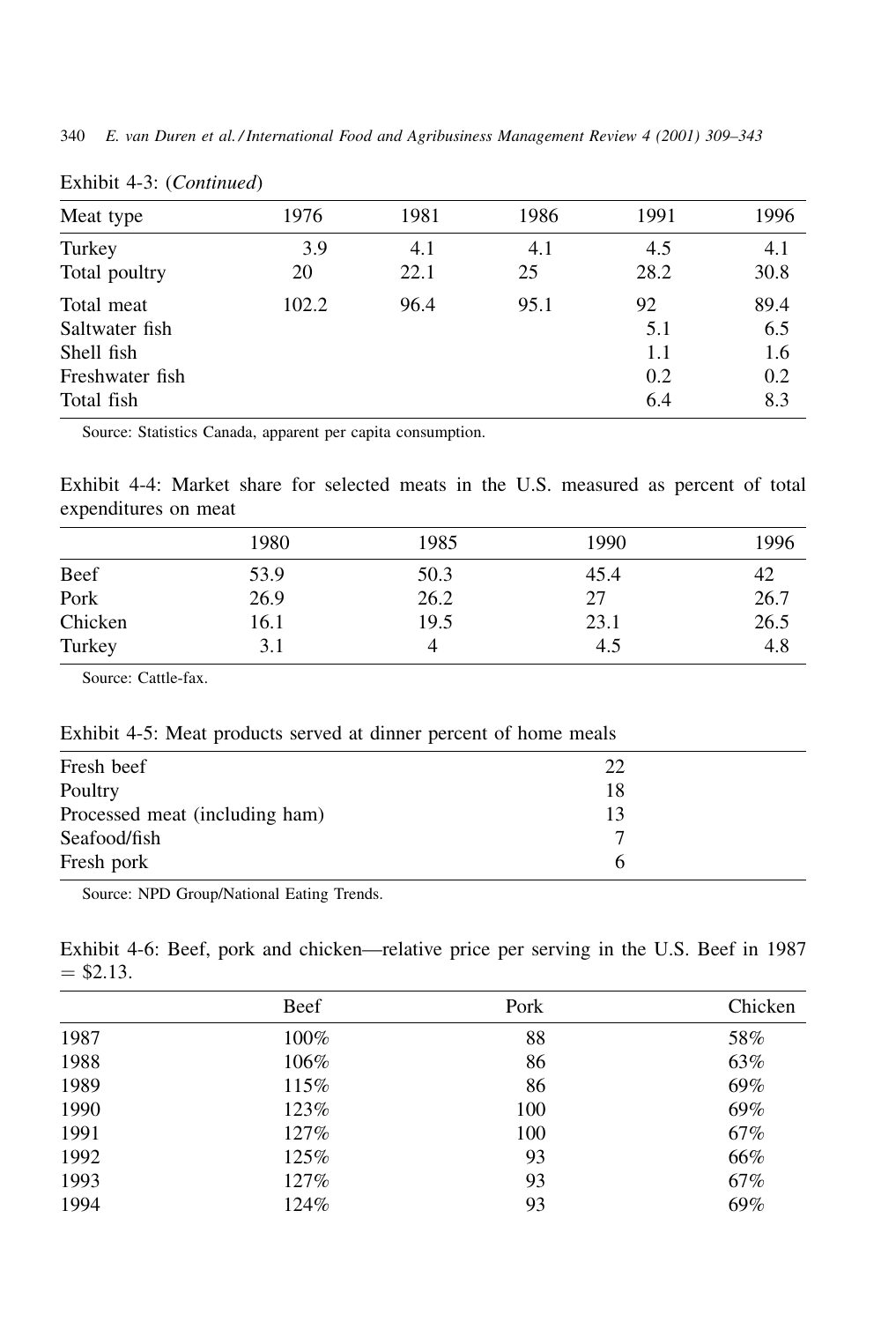340 E. van Duren et al./International Food and Agribusiness Management Review 4 (2001) 309-343

| Meat type       | 1976  | 1981 | 1986 | 1991 | 1996 |
|-----------------|-------|------|------|------|------|
| Turkey          | 3.9   | 4.1  | 4.1  | 4.5  | 4.1  |
| Total poultry   | 20    | 22.1 | 25   | 28.2 | 30.8 |
| Total meat      | 102.2 | 96.4 | 95.1 | 92   | 89.4 |
| Saltwater fish  |       |      |      | 5.1  | 6.5  |
| Shell fish      |       |      |      | 1.1  | 1.6  |
| Freshwater fish |       |      |      | 0.2  | 0.2  |
| Total fish      |       |      |      | 6.4  | 8.3  |
|                 |       |      |      |      |      |

Exhibit 4-3: (Continued)

Source: Statistics Canada, apparent per capita consumption.

Exhibit 4-4: Market share for selected meats in the U.S. measured as percent of total expenditures on meat

|         | 1980 | 1985 | 1990 | 1996 |
|---------|------|------|------|------|
| Beef    | 53.9 | 50.3 | 45.4 | 42   |
| Pork    | 26.9 | 26.2 | 27   | 26.7 |
| Chicken | 16.1 | 19.5 | 23.1 | 26.5 |
| Turkey  | 3.1  |      | 4.5  | 4.8  |

Source: Cattle-fax.

Exhibit 4-5: Meat products served at dinner percent of home meals

| 22 |  |
|----|--|
| 18 |  |
| 13 |  |
|    |  |
| h  |  |
|    |  |

Source: NPD Group/National Eating Trends.

| Exhibit 4-6: Beef, pork and chicken—relative price per serving in the U.S. Beef in 1987 |  |  |  |  |  |  |  |
|-----------------------------------------------------------------------------------------|--|--|--|--|--|--|--|
| $=$ \$2.13.                                                                             |  |  |  |  |  |  |  |

|      | Beef | Pork | Chicken |
|------|------|------|---------|
| 1987 | 100% | 88   | 58%     |
| 1988 | 106% | 86   | 63%     |
| 1989 | 115% | 86   | 69%     |
| 1990 | 123% | 100  | 69%     |
| 1991 | 127% | 100  | 67%     |
| 1992 | 125% | 93   | 66%     |
| 1993 | 127% | 93   | 67%     |
| 1994 | 124% | 93   | 69%     |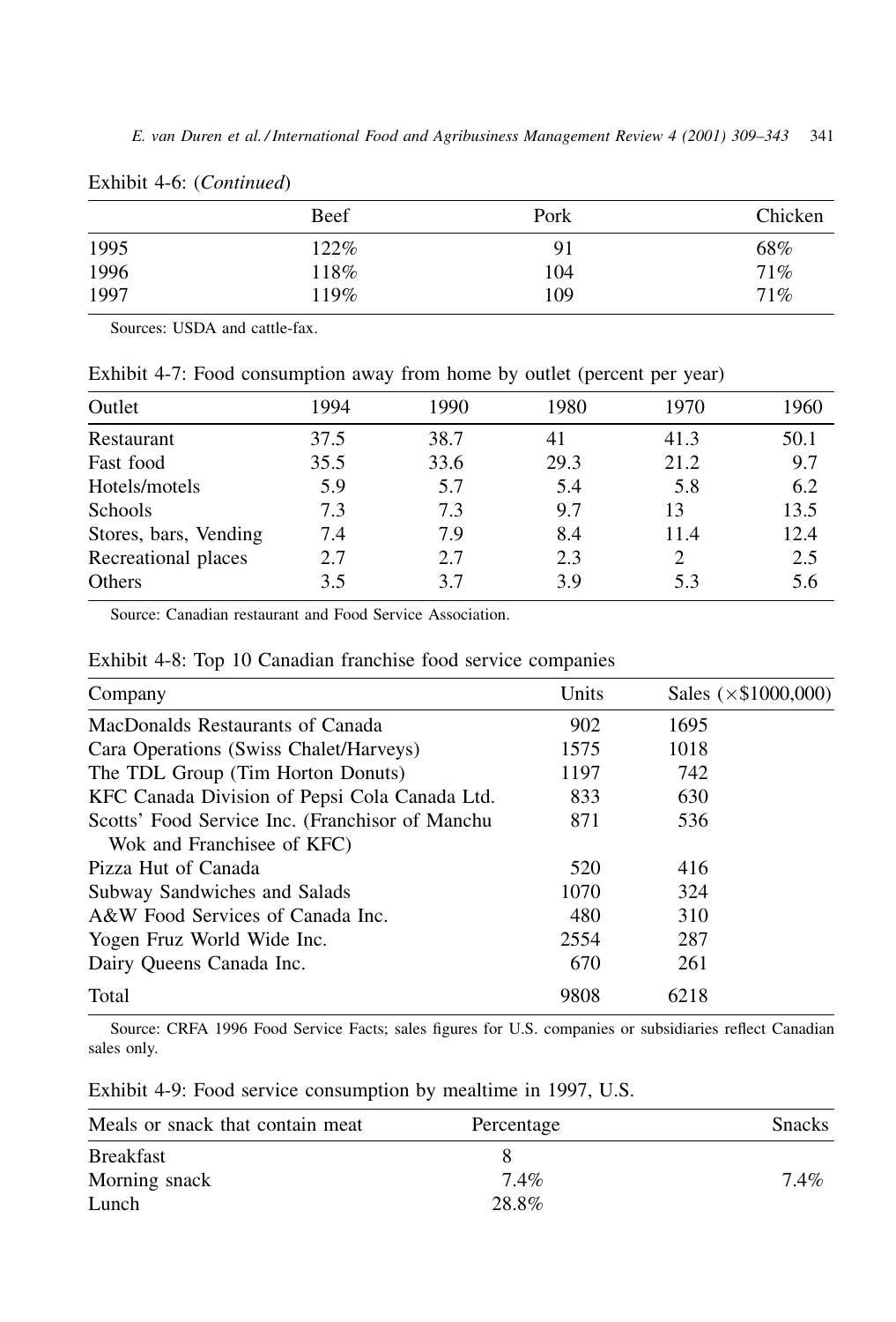|      | Beef | Pork | Chicken |
|------|------|------|---------|
| 1995 | 122% | 91   | 68%     |
| 1996 | 118% | 104  | 71%     |
| 1997 | 119% | 109  | 71%     |

Exhibit 4-6: (Continued)

Sources: USDA and cattle-fax.

Exhibit 4-7: Food consumption away from home by outlet (percent per year)

| Outlet                | 1994 | 1990 | 1980 | 1970 | 1960 |
|-----------------------|------|------|------|------|------|
| Restaurant            | 37.5 | 38.7 | 41   | 41.3 | 50.1 |
| Fast food             | 35.5 | 33.6 | 29.3 | 21.2 | 9.7  |
| Hotels/motels         | 5.9  | 5.7  | 5.4  | 5.8  | 6.2  |
| Schools               | 7.3  | 7.3  | 9.7  | 13   | 13.5 |
| Stores, bars, Vending | 7.4  | 7.9  | 8.4  | 11.4 | 12.4 |
| Recreational places   | 2.7  | 2.7  | 2.3  | 2    | 2.5  |
| Others                | 3.5  | 3.7  | 3.9  | 5.3  | 5.6  |

Source: Canadian restaurant and Food Service Association.

| Exhibit 4-8: Top 10 Canadian franchise food service companies |  |
|---------------------------------------------------------------|--|
|---------------------------------------------------------------|--|

| Company                                         | Units | Sales $(\times \$1000,000)$ |
|-------------------------------------------------|-------|-----------------------------|
| MacDonalds Restaurants of Canada                | 902   | 1695                        |
| Cara Operations (Swiss Chalet/Harveys)          | 1575  | 1018                        |
| The TDL Group (Tim Horton Donuts)               | 1197  | 742                         |
| KFC Canada Division of Pepsi Cola Canada Ltd.   | 833   | 630                         |
| Scotts' Food Service Inc. (Franchisor of Manchu | 871   | 536                         |
| Wok and Franchisee of KFC)                      |       |                             |
| Pizza Hut of Canada                             | 520   | 416                         |
| Subway Sandwiches and Salads                    | 1070  | 324                         |
| A&W Food Services of Canada Inc.                | 480   | 310                         |
| Yogen Fruz World Wide Inc.                      | 2554  | 287                         |
| Dairy Queens Canada Inc.                        | 670   | 261                         |
| Total                                           | 9808  | 6218                        |

Source: CRFA 1996 Food Service Facts; sales figures for U.S. companies or subsidiaries reflect Canadian sales only.

| Meals or snack that contain meat | Percentage | <b>Snacks</b> |
|----------------------------------|------------|---------------|
| <b>Breakfast</b>                 |            |               |
| Morning snack                    | $7.4\%$    | $7.4\%$       |
| Lunch                            | 28.8%      |               |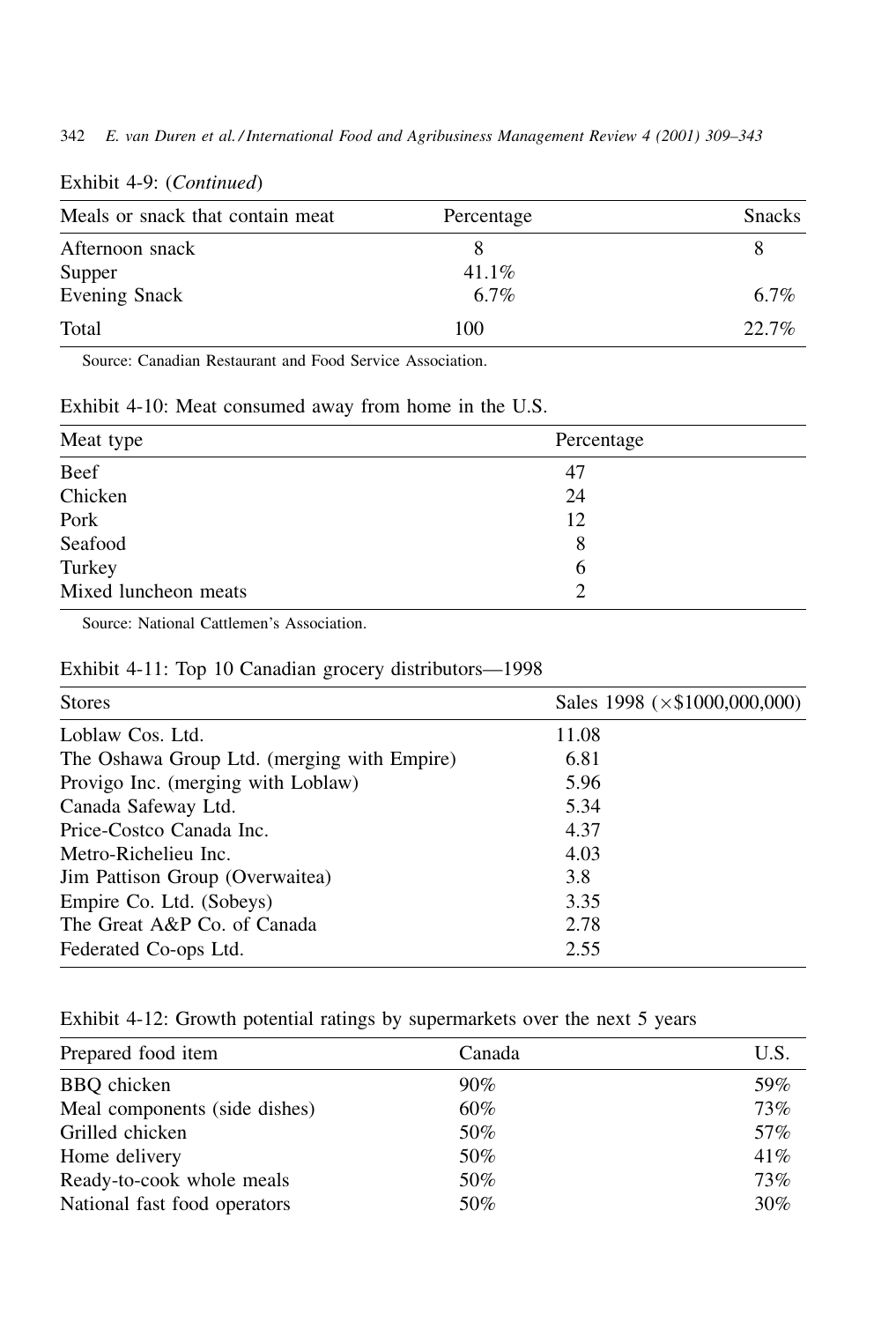342 E. van Duren et al./International Food and Agribusiness Management Review 4 (2001) 309-343

| Meals or snack that contain meat | Percentage | <b>Snacks</b> |
|----------------------------------|------------|---------------|
| Afternoon snack                  |            |               |
| Supper                           | $41.1\%$   |               |
| <b>Evening Snack</b>             | $6.7\%$    | $6.7\%$       |
| Total                            | 100        | 22.7%         |

# Exhibit 4-9: (Continued)

Source: Canadian Restaurant and Food Service Association.

| Exhibit 4-10: Meat consumed away from home in the U.S. |  |  |  |  |  |  |  |  |  |
|--------------------------------------------------------|--|--|--|--|--|--|--|--|--|
|--------------------------------------------------------|--|--|--|--|--|--|--|--|--|

| Meat type            | Percentage     |
|----------------------|----------------|
| Beef                 | 47             |
| Chicken              | 24             |
| Pork                 | 12             |
| Seafood              | 8              |
| Turkey               | 6              |
| Mixed luncheon meats | $\overline{2}$ |

Source: National Cattlemen's Association.

# Exhibit 4-11: Top 10 Canadian grocery distributors-1998

| <b>Stores</b>                               | Sales 1998 ( $\times$ \$1000,000,000) |
|---------------------------------------------|---------------------------------------|
| Loblaw Cos. Ltd.                            | 11.08                                 |
| The Oshawa Group Ltd. (merging with Empire) | 6.81                                  |
| Provigo Inc. (merging with Loblaw)          | 5.96                                  |
| Canada Safeway Ltd.                         | 5.34                                  |
| Price-Costco Canada Inc.                    | 4.37                                  |
| Metro-Richelieu Inc.                        | 4.03                                  |
| Jim Pattison Group (Overwaitea)             | 3.8                                   |
| Empire Co. Ltd. (Sobeys)                    | 3.35                                  |
| The Great A&P Co. of Canada                 | 2.78                                  |
| Federated Co-ops Ltd.                       | 2.55                                  |

# Exhibit 4-12: Growth potential ratings by supermarkets over the next 5 years

| Prepared food item            | Canada | U.S. |
|-------------------------------|--------|------|
| <b>BBQ</b> chicken            | 90%    | 59%  |
| Meal components (side dishes) | 60%    | 73%  |
| Grilled chicken               | 50%    | 57%  |
| Home delivery                 | 50%    | 41%  |
| Ready-to-cook whole meals     | 50%    | 73%  |
| National fast food operators  | 50%    | 30%  |